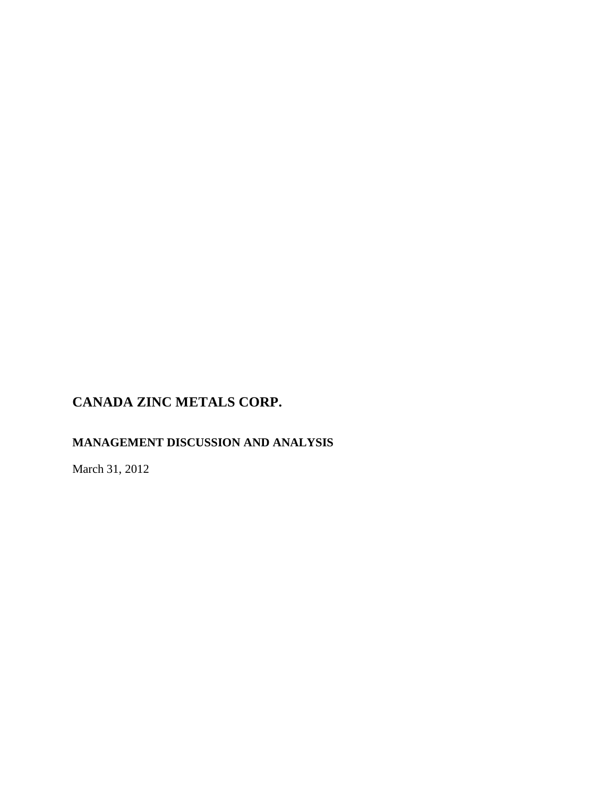# **MANAGEMENT DISCUSSION AND ANALYSIS**

March 31, 2012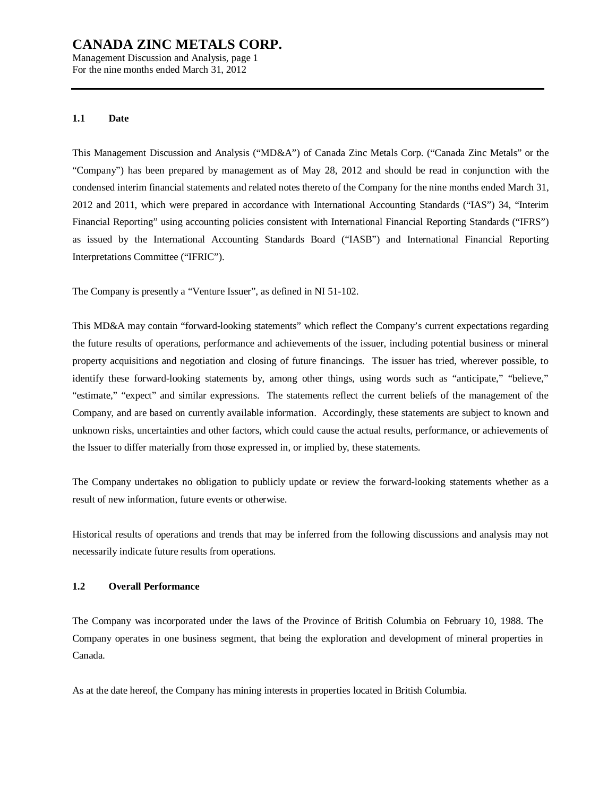Management Discussion and Analysis, page 1 For the nine months ended March 31, 2012

### **1.1 Date**

This Management Discussion and Analysis ("MD&A") of Canada Zinc Metals Corp. ("Canada Zinc Metals" or the "Company") has been prepared by management as of May 28, 2012 and should be read in conjunction with the condensed interim financial statements and related notes thereto of the Company for the nine months ended March 31, 2012 and 2011, which were prepared in accordance with International Accounting Standards ("IAS") 34, "Interim Financial Reporting" using accounting policies consistent with International Financial Reporting Standards ("IFRS") as issued by the International Accounting Standards Board ("IASB") and International Financial Reporting Interpretations Committee ("IFRIC").

The Company is presently a "Venture Issuer", as defined in NI 51-102.

This MD&A may contain "forward-looking statements" which reflect the Company's current expectations regarding the future results of operations, performance and achievements of the issuer, including potential business or mineral property acquisitions and negotiation and closing of future financings. The issuer has tried, wherever possible, to identify these forward-looking statements by, among other things, using words such as "anticipate," "believe," "estimate," "expect" and similar expressions. The statements reflect the current beliefs of the management of the Company, and are based on currently available information. Accordingly, these statements are subject to known and unknown risks, uncertainties and other factors, which could cause the actual results, performance, or achievements of the Issuer to differ materially from those expressed in, or implied by, these statements.

The Company undertakes no obligation to publicly update or review the forward-looking statements whether as a result of new information, future events or otherwise.

Historical results of operations and trends that may be inferred from the following discussions and analysis may not necessarily indicate future results from operations.

### **1.2 Overall Performance**

The Company was incorporated under the laws of the Province of British Columbia on February 10, 1988. The Company operates in one business segment, that being the exploration and development of mineral properties in Canada.

As at the date hereof, the Company has mining interests in properties located in British Columbia.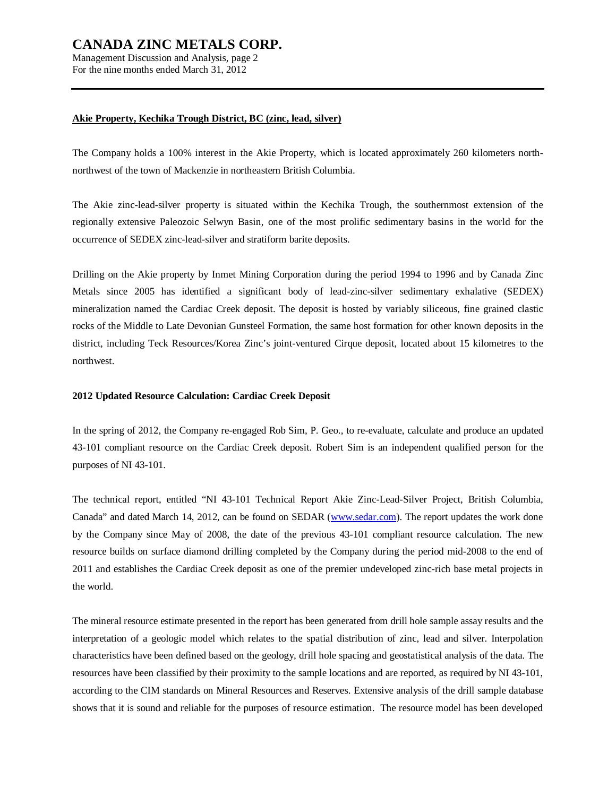Management Discussion and Analysis, page 2 For the nine months ended March 31, 2012

### **Akie Property, Kechika Trough District, BC (zinc, lead, silver)**

The Company holds a 100% interest in the Akie Property, which is located approximately 260 kilometers northnorthwest of the town of Mackenzie in northeastern British Columbia.

The Akie zinc-lead-silver property is situated within the Kechika Trough, the southernmost extension of the regionally extensive Paleozoic Selwyn Basin, one of the most prolific sedimentary basins in the world for the occurrence of SEDEX zinc-lead-silver and stratiform barite deposits.

Drilling on the Akie property by Inmet Mining Corporation during the period 1994 to 1996 and by Canada Zinc Metals since 2005 has identified a significant body of lead-zinc-silver sedimentary exhalative (SEDEX) mineralization named the Cardiac Creek deposit. The deposit is hosted by variably siliceous, fine grained clastic rocks of the Middle to Late Devonian Gunsteel Formation, the same host formation for other known deposits in the district, including Teck Resources/Korea Zinc's joint-ventured Cirque deposit, located about 15 kilometres to the northwest.

### **2012 Updated Resource Calculation: Cardiac Creek Deposit**

In the spring of 2012, the Company re-engaged Rob Sim, P. Geo., to re-evaluate, calculate and produce an updated 43-101 compliant resource on the Cardiac Creek deposit. Robert Sim is an independent qualified person for the purposes of NI 43-101.

The technical report, entitled "NI 43-101 Technical Report Akie Zinc-Lead-Silver Project, British Columbia, Canada" and dated March 14, 2012, can be found on SEDAR ([www.sedar.com](http://www.sedar.com)). The report updates the work done by the Company since May of 2008, the date of the previous 43-101 compliant resource calculation. The new resource builds on surface diamond drilling completed by the Company during the period mid-2008 to the end of 2011 and establishes the Cardiac Creek deposit as one of the premier undeveloped zinc-rich base metal projects in the world.

The mineral resource estimate presented in the report has been generated from drill hole sample assay results and the interpretation of a geologic model which relates to the spatial distribution of zinc, lead and silver. Interpolation characteristics have been defined based on the geology, drill hole spacing and geostatistical analysis of the data. The resources have been classified by their proximity to the sample locations and are reported, as required by NI 43-101, according to the CIM standards on Mineral Resources and Reserves. Extensive analysis of the drill sample database shows that it is sound and reliable for the purposes of resource estimation. The resource model has been developed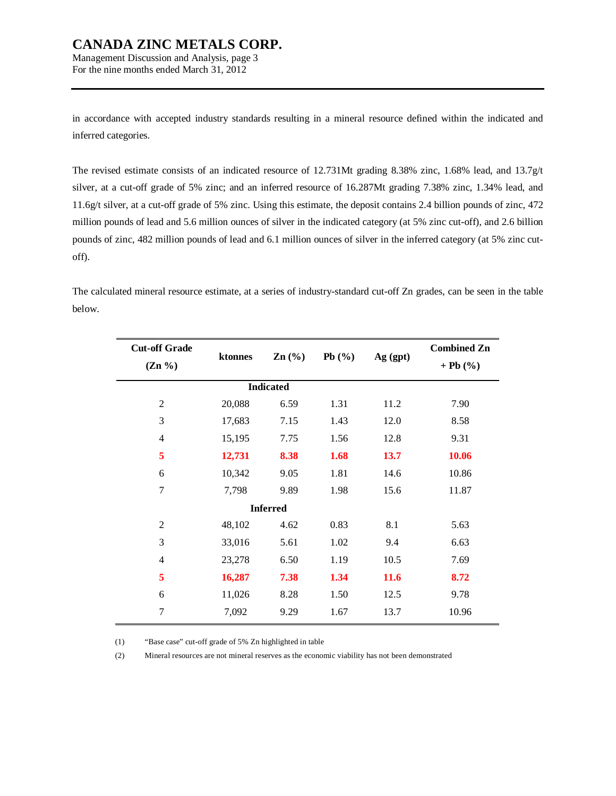Management Discussion and Analysis, page 3 For the nine months ended March 31, 2012

in accordance with accepted industry standards resulting in a mineral resource defined within the indicated and inferred categories.

The revised estimate consists of an indicated resource of 12.731Mt grading 8.38% zinc, 1.68% lead, and 13.7g/t silver, at a cut-off grade of 5% zinc; and an inferred resource of 16.287Mt grading 7.38% zinc, 1.34% lead, and 11.6g/t silver, at a cut-off grade of 5% zinc. Using this estimate, the deposit contains 2.4 billion pounds of zinc, 472 million pounds of lead and 5.6 million ounces of silver in the indicated category (at 5% zinc cut-off), and 2.6 billion pounds of zinc, 482 million pounds of lead and 6.1 million ounces of silver in the inferred category (at 5% zinc cutoff).

The calculated mineral resource estimate, at a series of industry-standard cut-off Zn grades, can be seen in the table below.

| <b>Cut-off Grade</b><br>$(Zn\% )$ | ktonnes | $Zn$ (%)         | Pb $(\% )$ | Ag (gpt) | <b>Combined Zn</b><br>$+ Pb (%)$ |
|-----------------------------------|---------|------------------|------------|----------|----------------------------------|
|                                   |         | <b>Indicated</b> |            |          |                                  |
| $\overline{2}$                    | 20,088  | 6.59             | 1.31       | 11.2     | 7.90                             |
| 3                                 | 17,683  | 7.15             | 1.43       | 12.0     | 8.58                             |
| 4                                 | 15,195  | 7.75             | 1.56       | 12.8     | 9.31                             |
| 5                                 | 12,731  | 8.38             | 1.68       | 13.7     | 10.06                            |
| 6                                 | 10,342  | 9.05             | 1.81       | 14.6     | 10.86                            |
| $\overline{7}$                    | 7,798   | 9.89             | 1.98       | 15.6     | 11.87                            |
|                                   |         | <b>Inferred</b>  |            |          |                                  |
| $\overline{2}$                    | 48,102  | 4.62             | 0.83       | 8.1      | 5.63                             |
| 3                                 | 33,016  | 5.61             | 1.02       | 9.4      | 6.63                             |
| $\overline{4}$                    | 23,278  | 6.50             | 1.19       | 10.5     | 7.69                             |
| 5                                 | 16,287  | 7.38             | 1.34       | 11.6     | 8.72                             |
| 6                                 | 11,026  | 8.28             | 1.50       | 12.5     | 9.78                             |
| 7                                 | 7,092   | 9.29             | 1.67       | 13.7     | 10.96                            |
|                                   |         |                  |            |          |                                  |

(1) "Base case" cut-off grade of 5% Zn highlighted in table

(2) Mineral resources are not mineral reserves as the economic viability has not been demonstrated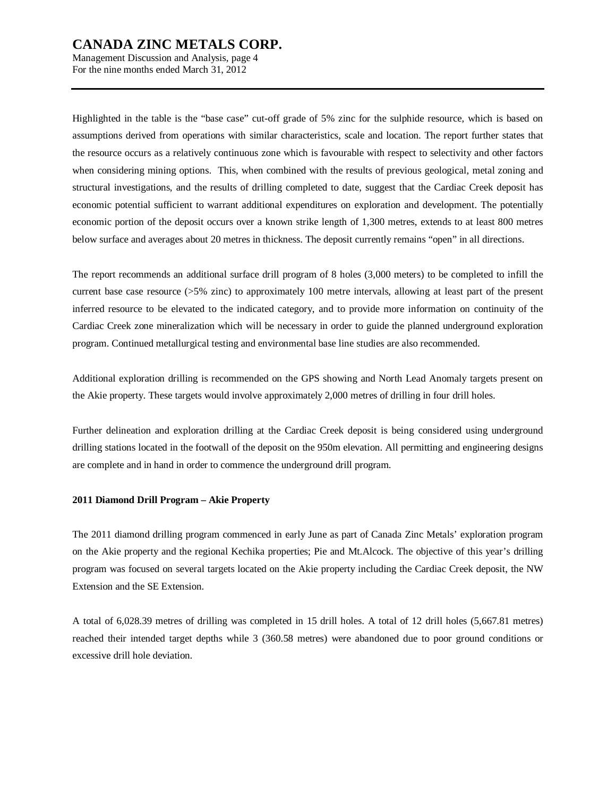Management Discussion and Analysis, page 4 For the nine months ended March 31, 2012

Highlighted in the table is the "base case" cut-off grade of 5% zinc for the sulphide resource, which is based on assumptions derived from operations with similar characteristics, scale and location. The report further states that the resource occurs as a relatively continuous zone which is favourable with respect to selectivity and other factors when considering mining options. This, when combined with the results of previous geological, metal zoning and structural investigations, and the results of drilling completed to date, suggest that the Cardiac Creek deposit has economic potential sufficient to warrant additional expenditures on exploration and development. The potentially economic portion of the deposit occurs over a known strike length of 1,300 metres, extends to at least 800 metres below surface and averages about 20 metres in thickness. The deposit currently remains "open" in all directions.

The report recommends an additional surface drill program of 8 holes (3,000 meters) to be completed to infill the current base case resource (>5% zinc) to approximately 100 metre intervals, allowing at least part of the present inferred resource to be elevated to the indicated category, and to provide more information on continuity of the Cardiac Creek zone mineralization which will be necessary in order to guide the planned underground exploration program. Continued metallurgical testing and environmental base line studies are also recommended.

Additional exploration drilling is recommended on the GPS showing and North Lead Anomaly targets present on the Akie property. These targets would involve approximately 2,000 metres of drilling in four drill holes.

Further delineation and exploration drilling at the Cardiac Creek deposit is being considered using underground drilling stations located in the footwall of the deposit on the 950m elevation. All permitting and engineering designs are complete and in hand in order to commence the underground drill program.

#### **2011 Diamond Drill Program – Akie Property**

The 2011 diamond drilling program commenced in early June as part of Canada Zinc Metals' exploration program on the Akie property and the regional Kechika properties; Pie and Mt.Alcock. The objective of this year's drilling program was focused on several targets located on the Akie property including the Cardiac Creek deposit, the NW Extension and the SE Extension.

A total of 6,028.39 metres of drilling was completed in 15 drill holes. A total of 12 drill holes (5,667.81 metres) reached their intended target depths while 3 (360.58 metres) were abandoned due to poor ground conditions or excessive drill hole deviation.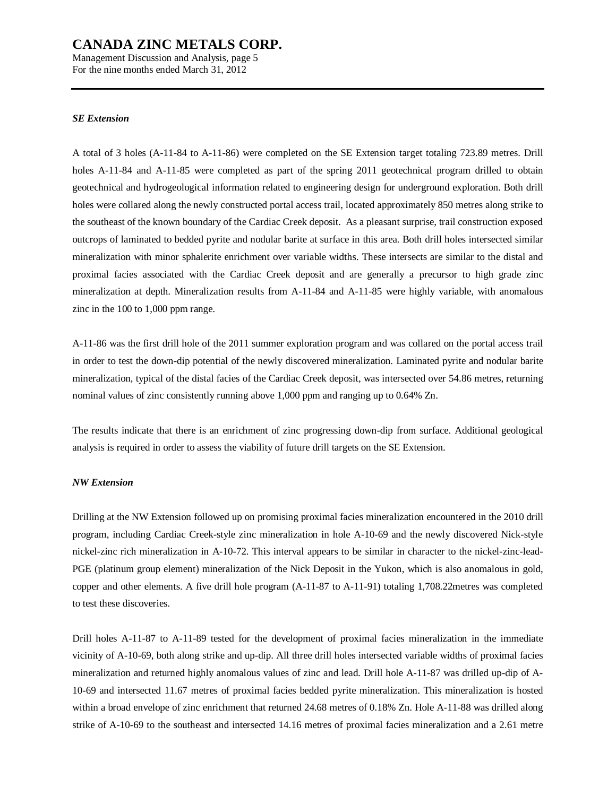Management Discussion and Analysis, page 5 For the nine months ended March 31, 2012

#### *SE Extension*

A total of 3 holes (A-11-84 to A-11-86) were completed on the SE Extension target totaling 723.89 metres. Drill holes A-11-84 and A-11-85 were completed as part of the spring 2011 geotechnical program drilled to obtain geotechnical and hydrogeological information related to engineering design for underground exploration. Both drill holes were collared along the newly constructed portal access trail, located approximately 850 metres along strike to the southeast of the known boundary of the Cardiac Creek deposit. As a pleasant surprise, trail construction exposed outcrops of laminated to bedded pyrite and nodular barite at surface in this area. Both drill holes intersected similar mineralization with minor sphalerite enrichment over variable widths. These intersects are similar to the distal and proximal facies associated with the Cardiac Creek deposit and are generally a precursor to high grade zinc mineralization at depth. Mineralization results from A-11-84 and A-11-85 were highly variable, with anomalous zinc in the 100 to 1,000 ppm range.

A-11-86 was the first drill hole of the 2011 summer exploration program and was collared on the portal access trail in order to test the down-dip potential of the newly discovered mineralization. Laminated pyrite and nodular barite mineralization, typical of the distal facies of the Cardiac Creek deposit, was intersected over 54.86 metres, returning nominal values of zinc consistently running above 1,000 ppm and ranging up to 0.64% Zn.

The results indicate that there is an enrichment of zinc progressing down-dip from surface. Additional geological analysis is required in order to assess the viability of future drill targets on the SE Extension.

#### *NW Extension*

Drilling at the NW Extension followed up on promising proximal facies mineralization encountered in the 2010 drill program, including Cardiac Creek-style zinc mineralization in hole A-10-69 and the newly discovered Nick-style nickel-zinc rich mineralization in A-10-72. This interval appears to be similar in character to the nickel-zinc-lead-PGE (platinum group element) mineralization of the Nick Deposit in the Yukon, which is also anomalous in gold, copper and other elements. A five drill hole program (A-11-87 to A-11-91) totaling 1,708.22metres was completed to test these discoveries.

Drill holes A-11-87 to A-11-89 tested for the development of proximal facies mineralization in the immediate vicinity of A-10-69, both along strike and up-dip. All three drill holes intersected variable widths of proximal facies mineralization and returned highly anomalous values of zinc and lead. Drill hole A-11-87 was drilled up-dip of A-10-69 and intersected 11.67 metres of proximal facies bedded pyrite mineralization. This mineralization is hosted within a broad envelope of zinc enrichment that returned 24.68 metres of 0.18% Zn. Hole A-11-88 was drilled along strike of A-10-69 to the southeast and intersected 14.16 metres of proximal facies mineralization and a 2.61 metre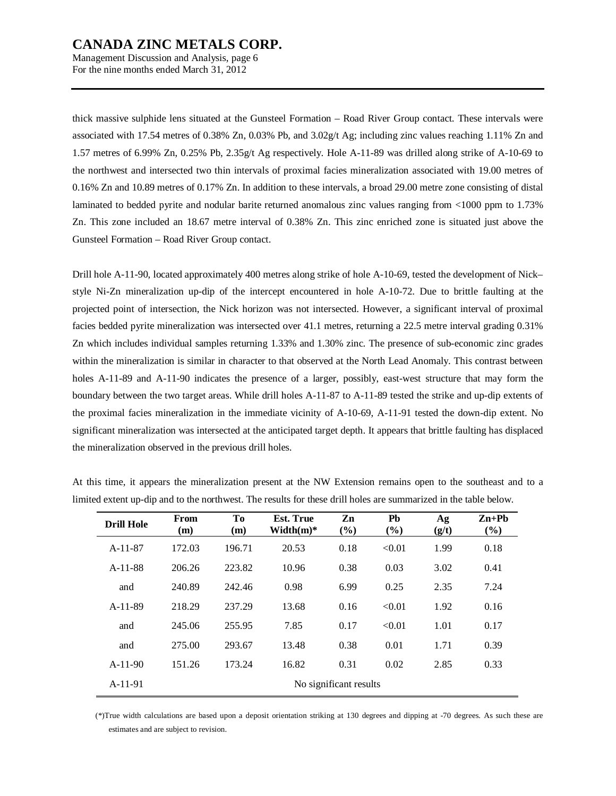Management Discussion and Analysis, page 6 For the nine months ended March 31, 2012

thick massive sulphide lens situated at the Gunsteel Formation – Road River Group contact. These intervals were associated with 17.54 metres of 0.38% Zn, 0.03% Pb, and 3.02g/t Ag; including zinc values reaching 1.11% Zn and 1.57 metres of 6.99% Zn, 0.25% Pb, 2.35g/t Ag respectively. Hole A-11-89 was drilled along strike of A-10-69 to the northwest and intersected two thin intervals of proximal facies mineralization associated with 19.00 metres of 0.16% Zn and 10.89 metres of 0.17% Zn. In addition to these intervals, a broad 29.00 metre zone consisting of distal laminated to bedded pyrite and nodular barite returned anomalous zinc values ranging from <1000 ppm to 1.73% Zn. This zone included an 18.67 metre interval of 0.38% Zn. This zinc enriched zone is situated just above the Gunsteel Formation – Road River Group contact.

Drill hole A-11-90, located approximately 400 metres along strike of hole A-10-69, tested the development of Nick– style Ni-Zn mineralization up-dip of the intercept encountered in hole A-10-72. Due to brittle faulting at the projected point of intersection, the Nick horizon was not intersected. However, a significant interval of proximal facies bedded pyrite mineralization was intersected over 41.1 metres, returning a 22.5 metre interval grading 0.31% Zn which includes individual samples returning 1.33% and 1.30% zinc. The presence of sub-economic zinc grades within the mineralization is similar in character to that observed at the North Lead Anomaly. This contrast between holes A-11-89 and A-11-90 indicates the presence of a larger, possibly, east-west structure that may form the boundary between the two target areas. While drill holes A-11-87 to A-11-89 tested the strike and up-dip extents of the proximal facies mineralization in the immediate vicinity of A-10-69, A-11-91 tested the down-dip extent. No significant mineralization was intersected at the anticipated target depth. It appears that brittle faulting has displaced the mineralization observed in the previous drill holes.

| <b>Drill Hole</b> | From<br>(m) | To<br>(m) | <b>Est. True</b><br>$Width(m)*$ | Zn<br>(%)              | Pb<br>(%) | Ag<br>(g/t) | $Zn+Ph$<br>(%) |  |  |  |  |  |  |
|-------------------|-------------|-----------|---------------------------------|------------------------|-----------|-------------|----------------|--|--|--|--|--|--|
| $A-11-87$         | 172.03      | 196.71    | 20.53                           | 0.18                   | < 0.01    | 1.99        | 0.18           |  |  |  |  |  |  |
| $A-11-88$         | 206.26      | 223.82    | 10.96                           | 0.38                   | 0.03      | 3.02        | 0.41           |  |  |  |  |  |  |
| and               | 240.89      | 242.46    | 0.98                            | 6.99                   | 0.25      | 2.35        | 7.24           |  |  |  |  |  |  |
| $A-11-89$         | 218.29      | 237.29    | 13.68                           | 0.16                   | < 0.01    | 1.92        | 0.16           |  |  |  |  |  |  |
| and               | 245.06      | 255.95    | 7.85                            | 0.17                   | < 0.01    | 1.01        | 0.17           |  |  |  |  |  |  |
| and               | 275.00      | 293.67    | 13.48                           | 0.38                   | 0.01      | 1.71        | 0.39           |  |  |  |  |  |  |
| $A-11-90$         | 151.26      | 173.24    | 16.82                           | 0.31                   | 0.02      | 2.85        | 0.33           |  |  |  |  |  |  |
| $A-11-91$         |             |           |                                 | No significant results |           |             |                |  |  |  |  |  |  |

At this time, it appears the mineralization present at the NW Extension remains open to the southeast and to a limited extent up-dip and to the northwest. The results for these drill holes are summarized in the table below.

(\*)True width calculations are based upon a deposit orientation striking at 130 degrees and dipping at -70 degrees. As such these are estimates and are subject to revision.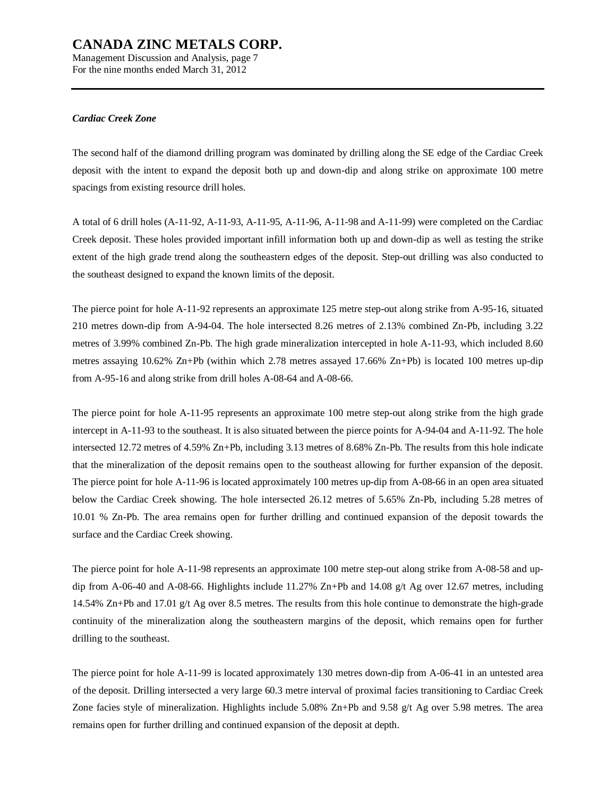Management Discussion and Analysis, page 7 For the nine months ended March 31, 2012

#### *Cardiac Creek Zone*

The second half of the diamond drilling program was dominated by drilling along the SE edge of the Cardiac Creek deposit with the intent to expand the deposit both up and down-dip and along strike on approximate 100 metre spacings from existing resource drill holes.

A total of 6 drill holes (A-11-92, A-11-93, A-11-95, A-11-96, A-11-98 and A-11-99) were completed on the Cardiac Creek deposit. These holes provided important infill information both up and down-dip as well as testing the strike extent of the high grade trend along the southeastern edges of the deposit. Step-out drilling was also conducted to the southeast designed to expand the known limits of the deposit.

The pierce point for hole A-11-92 represents an approximate 125 metre step-out along strike from A-95-16, situated 210 metres down-dip from A-94-04. The hole intersected 8.26 metres of 2.13% combined Zn-Pb, including 3.22 metres of 3.99% combined Zn-Pb. The high grade mineralization intercepted in hole A-11-93, which included 8.60 metres assaying 10.62% Zn+Pb (within which 2.78 metres assayed 17.66% Zn+Pb) is located 100 metres up-dip from A-95-16 and along strike from drill holes A-08-64 and A-08-66.

The pierce point for hole A-11-95 represents an approximate 100 metre step-out along strike from the high grade intercept in A-11-93 to the southeast. It is also situated between the pierce points for A-94-04 and A-11-92. The hole intersected 12.72 metres of 4.59% Zn+Pb, including 3.13 metres of 8.68% Zn-Pb. The results from this hole indicate that the mineralization of the deposit remains open to the southeast allowing for further expansion of the deposit. The pierce point for hole A-11-96 is located approximately 100 metres up-dip from A-08-66 in an open area situated below the Cardiac Creek showing. The hole intersected 26.12 metres of 5.65% Zn-Pb, including 5.28 metres of 10.01 % Zn-Pb. The area remains open for further drilling and continued expansion of the deposit towards the surface and the Cardiac Creek showing.

The pierce point for hole A-11-98 represents an approximate 100 metre step-out along strike from A-08-58 and updip from A-06-40 and A-08-66. Highlights include 11.27% Zn+Pb and 14.08 g/t Ag over 12.67 metres, including 14.54% Zn+Pb and 17.01 g/t Ag over 8.5 metres. The results from this hole continue to demonstrate the high-grade continuity of the mineralization along the southeastern margins of the deposit, which remains open for further drilling to the southeast.

The pierce point for hole A-11-99 is located approximately 130 metres down-dip from A-06-41 in an untested area of the deposit. Drilling intersected a very large 60.3 metre interval of proximal facies transitioning to Cardiac Creek Zone facies style of mineralization. Highlights include 5.08% Zn+Pb and 9.58 g/t Ag over 5.98 metres. The area remains open for further drilling and continued expansion of the deposit at depth.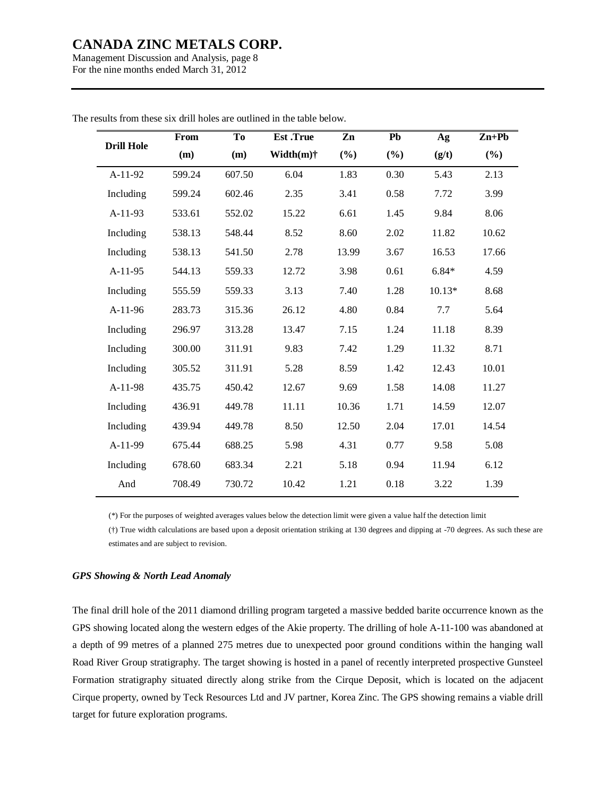Management Discussion and Analysis, page 8 For the nine months ended March 31, 2012

|                   | From   | <b>To</b> | <b>Est</b> .True | Zn    | Pb     | Ag       | $Zn+Pb$ |
|-------------------|--------|-----------|------------------|-------|--------|----------|---------|
| <b>Drill Hole</b> | (m)    | (m)       | Width $(m)$ †    | (%)   | $(\%)$ | (g/t)    | $(\%)$  |
| $A-11-92$         | 599.24 | 607.50    | 6.04             | 1.83  | 0.30   | 5.43     | 2.13    |
| Including         | 599.24 | 602.46    | 2.35             | 3.41  | 0.58   | 7.72     | 3.99    |
| $A-11-93$         | 533.61 | 552.02    | 15.22            | 6.61  | 1.45   | 9.84     | 8.06    |
| Including         | 538.13 | 548.44    | 8.52             | 8.60  | 2.02   | 11.82    | 10.62   |
| Including         | 538.13 | 541.50    | 2.78             | 13.99 | 3.67   | 16.53    | 17.66   |
| $A-11-95$         | 544.13 | 559.33    | 12.72            | 3.98  | 0.61   | $6.84*$  | 4.59    |
| Including         | 555.59 | 559.33    | 3.13             | 7.40  | 1.28   | $10.13*$ | 8.68    |
| $A-11-96$         | 283.73 | 315.36    | 26.12            | 4.80  | 0.84   | 7.7      | 5.64    |
| Including         | 296.97 | 313.28    | 13.47            | 7.15  | 1.24   | 11.18    | 8.39    |
| Including         | 300.00 | 311.91    | 9.83             | 7.42  | 1.29   | 11.32    | 8.71    |
| Including         | 305.52 | 311.91    | 5.28             | 8.59  | 1.42   | 12.43    | 10.01   |
| A-11-98           | 435.75 | 450.42    | 12.67            | 9.69  | 1.58   | 14.08    | 11.27   |
| Including         | 436.91 | 449.78    | 11.11            | 10.36 | 1.71   | 14.59    | 12.07   |
| Including         | 439.94 | 449.78    | 8.50             | 12.50 | 2.04   | 17.01    | 14.54   |
| A-11-99           | 675.44 | 688.25    | 5.98             | 4.31  | 0.77   | 9.58     | 5.08    |
| Including         | 678.60 | 683.34    | 2.21             | 5.18  | 0.94   | 11.94    | 6.12    |
| And               | 708.49 | 730.72    | 10.42            | 1.21  | 0.18   | 3.22     | 1.39    |

The results from these six drill holes are outlined in the table below.

(\*) For the purposes of weighted averages values below the detection limit were given a value half the detection limit

(†) True width calculations are based upon a deposit orientation striking at 130 degrees and dipping at -70 degrees. As such these are estimates and are subject to revision.

### *GPS Showing & North Lead Anomaly*

The final drill hole of the 2011 diamond drilling program targeted a massive bedded barite occurrence known as the GPS showing located along the western edges of the Akie property. The drilling of hole A-11-100 was abandoned at a depth of 99 metres of a planned 275 metres due to unexpected poor ground conditions within the hanging wall Road River Group stratigraphy. The target showing is hosted in a panel of recently interpreted prospective Gunsteel Formation stratigraphy situated directly along strike from the Cirque Deposit, which is located on the adjacent Cirque property, owned by Teck Resources Ltd and JV partner, Korea Zinc. The GPS showing remains a viable drill target for future exploration programs.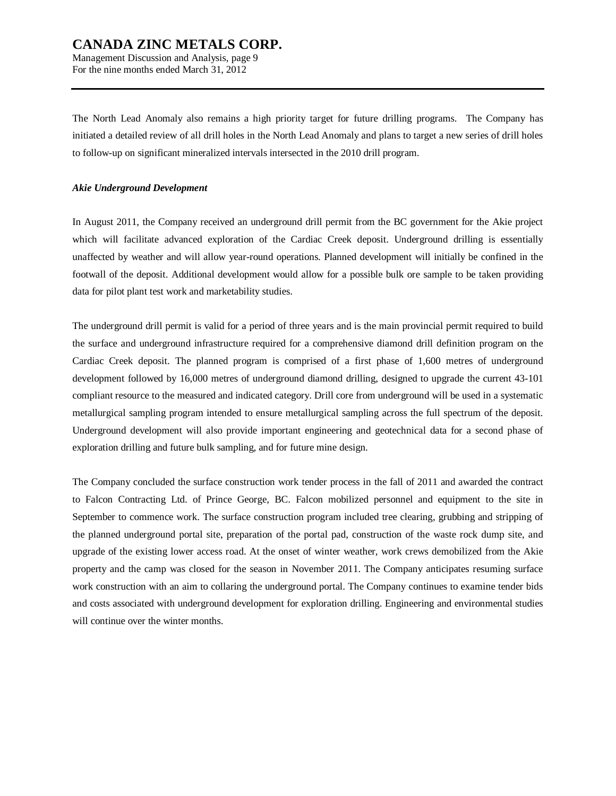Management Discussion and Analysis, page 9 For the nine months ended March 31, 2012

The North Lead Anomaly also remains a high priority target for future drilling programs. The Company has initiated a detailed review of all drill holes in the North Lead Anomaly and plans to target a new series of drill holes to follow-up on significant mineralized intervals intersected in the 2010 drill program.

#### *Akie Underground Development*

In August 2011, the Company received an underground drill permit from the BC government for the Akie project which will facilitate advanced exploration of the Cardiac Creek deposit. Underground drilling is essentially unaffected by weather and will allow year-round operations. Planned development will initially be confined in the footwall of the deposit. Additional development would allow for a possible bulk ore sample to be taken providing data for pilot plant test work and marketability studies.

The underground drill permit is valid for a period of three years and is the main provincial permit required to build the surface and underground infrastructure required for a comprehensive diamond drill definition program on the Cardiac Creek deposit. The planned program is comprised of a first phase of 1,600 metres of underground development followed by 16,000 metres of underground diamond drilling, designed to upgrade the current 43-101 compliant resource to the measured and indicated category. Drill core from underground will be used in a systematic metallurgical sampling program intended to ensure metallurgical sampling across the full spectrum of the deposit. Underground development will also provide important engineering and geotechnical data for a second phase of exploration drilling and future bulk sampling, and for future mine design.

The Company concluded the surface construction work tender process in the fall of 2011 and awarded the contract to Falcon Contracting Ltd. of Prince George, BC. Falcon mobilized personnel and equipment to the site in September to commence work. The surface construction program included tree clearing, grubbing and stripping of the planned underground portal site, preparation of the portal pad, construction of the waste rock dump site, and upgrade of the existing lower access road. At the onset of winter weather, work crews demobilized from the Akie property and the camp was closed for the season in November 2011. The Company anticipates resuming surface work construction with an aim to collaring the underground portal. The Company continues to examine tender bids and costs associated with underground development for exploration drilling. Engineering and environmental studies will continue over the winter months.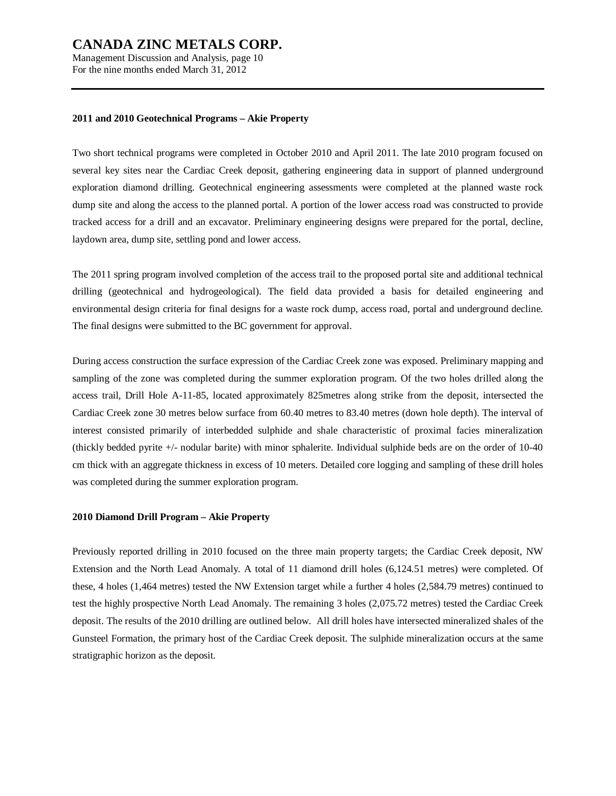Management Discussion and Analysis, page 10 For the nine months ended March 31, 2012

#### **2011 and 2010 Geotechnical Programs – Akie Property**

Two short technical programs were completed in October 2010 and April 2011. The late 2010 program focused on several key sites near the Cardiac Creek deposit, gathering engineering data in support of planned underground exploration diamond drilling. Geotechnical engineering assessments were completed at the planned waste rock dump site and along the access to the planned portal. A portion of the lower access road was constructed to provide tracked access for a drill and an excavator. Preliminary engineering designs were prepared for the portal, decline, laydown area, dump site, settling pond and lower access.

The 2011 spring program involved completion of the access trail to the proposed portal site and additional technical drilling (geotechnical and hydrogeological). The field data provided a basis for detailed engineering and environmental design criteria for final designs for a waste rock dump, access road, portal and underground decline. The final designs were submitted to the BC government for approval.

During access construction the surface expression of the Cardiac Creek zone was exposed. Preliminary mapping and sampling of the zone was completed during the summer exploration program. Of the two holes drilled along the access trail, Drill Hole A-11-85, located approximately 825metres along strike from the deposit, intersected the Cardiac Creek zone 30 metres below surface from 60.40 metres to 83.40 metres (down hole depth). The interval of interest consisted primarily of interbedded sulphide and shale characteristic of proximal facies mineralization (thickly bedded pyrite +/- nodular barite) with minor sphalerite. Individual sulphide beds are on the order of 10-40 cm thick with an aggregate thickness in excess of 10 meters. Detailed core logging and sampling of these drill holes was completed during the summer exploration program.

#### **2010 Diamond Drill Program – Akie Property**

Previously reported drilling in 2010 focused on the three main property targets; the Cardiac Creek deposit, NW Extension and the North Lead Anomaly. A total of 11 diamond drill holes (6,124.51 metres) were completed. Of these, 4 holes (1,464 metres) tested the NW Extension target while a further 4 holes (2,584.79 metres) continued to test the highly prospective North Lead Anomaly. The remaining 3 holes (2,075.72 metres) tested the Cardiac Creek deposit. The results of the 2010 drilling are outlined below. All drill holes have intersected mineralized shales of the Gunsteel Formation, the primary host of the Cardiac Creek deposit. The sulphide mineralization occurs at the same stratigraphic horizon as the deposit.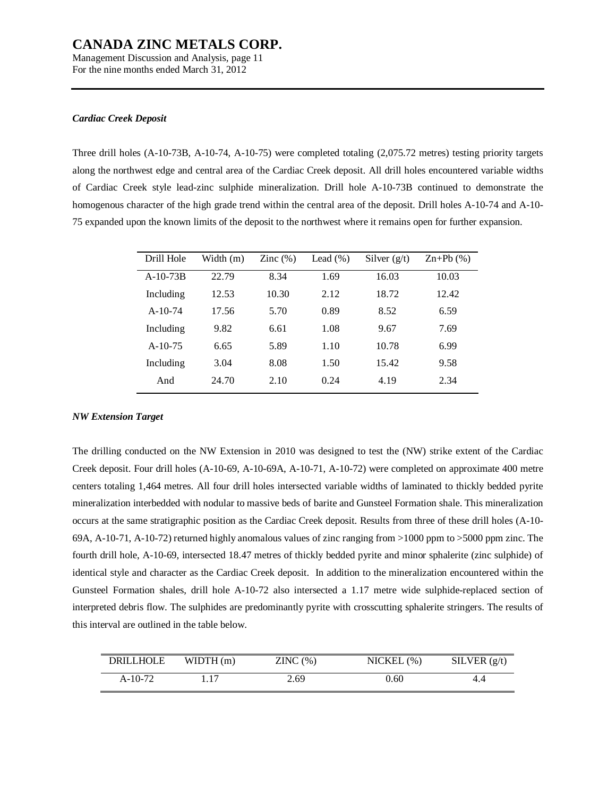Management Discussion and Analysis, page 11 For the nine months ended March 31, 2012

#### *Cardiac Creek Deposit*

Three drill holes (A-10-73B, A-10-74, A-10-75) were completed totaling (2,075.72 metres) testing priority targets along the northwest edge and central area of the Cardiac Creek deposit. All drill holes encountered variable widths of Cardiac Creek style lead-zinc sulphide mineralization. Drill hole A-10-73B continued to demonstrate the homogenous character of the high grade trend within the central area of the deposit. Drill holes A-10-74 and A-10- 75 expanded upon the known limits of the deposit to the northwest where it remains open for further expansion.

| Drill Hole | Width (m) | Zinc $(\%)$ | Lead $(\%)$ | Silver $(g/t)$ | $\text{Zn+Pb}$ (%) |
|------------|-----------|-------------|-------------|----------------|--------------------|
| $A-10-73B$ | 22.79     | 8.34        | 1.69        | 16.03          | 10.03              |
| Including  | 12.53     | 10.30       | 2.12        | 18.72          | 12.42              |
| $A-10-74$  | 17.56     | 5.70        | 0.89        | 8.52           | 6.59               |
| Including  | 9.82      | 6.61        | 1.08        | 9.67           | 7.69               |
| $A-10-75$  | 6.65      | 5.89        | 1.10        | 10.78          | 6.99               |
| Including  | 3.04      | 8.08        | 1.50        | 15.42          | 9.58               |
| And        | 24.70     | 2.10        | 0.24        | 4.19           | 2.34               |
|            |           |             |             |                |                    |

#### *NW Extension Target*

The drilling conducted on the NW Extension in 2010 was designed to test the (NW) strike extent of the Cardiac Creek deposit. Four drill holes (A-10-69, A-10-69A, A-10-71, A-10-72) were completed on approximate 400 metre centers totaling 1,464 metres. All four drill holes intersected variable widths of laminated to thickly bedded pyrite mineralization interbedded with nodular to massive beds of barite and Gunsteel Formation shale. This mineralization occurs at the same stratigraphic position as the Cardiac Creek deposit. Results from three of these drill holes (A-10- 69A, A-10-71, A-10-72) returned highly anomalous values of zinc ranging from >1000 ppm to >5000 ppm zinc. The fourth drill hole, A-10-69, intersected 18.47 metres of thickly bedded pyrite and minor sphalerite (zinc sulphide) of identical style and character as the Cardiac Creek deposit. In addition to the mineralization encountered within the Gunsteel Formation shales, drill hole A-10-72 also intersected a 1.17 metre wide sulphide-replaced section of interpreted debris flow. The sulphides are predominantly pyrite with crosscutting sphalerite stringers. The results of this interval are outlined in the table below.

| DRILLHOLE | WIDTH(m) | ZINC(%) | $NICKEL$ $%$ | SILVER $(g/t)$ |
|-----------|----------|---------|--------------|----------------|
| $A-10-72$ | 117      | 2.69    | 0.60         | 4.4            |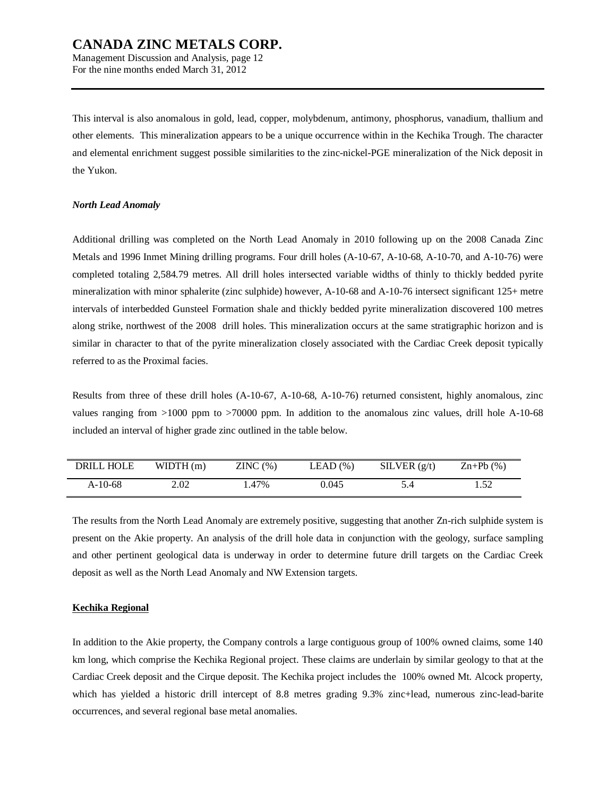Management Discussion and Analysis, page 12 For the nine months ended March 31, 2012

This interval is also anomalous in gold, lead, copper, molybdenum, antimony, phosphorus, vanadium, thallium and other elements. This mineralization appears to be a unique occurrence within in the Kechika Trough. The character and elemental enrichment suggest possible similarities to the zinc-nickel-PGE mineralization of the Nick deposit in the Yukon.

#### *North Lead Anomaly*

Additional drilling was completed on the North Lead Anomaly in 2010 following up on the 2008 Canada Zinc Metals and 1996 Inmet Mining drilling programs. Four drill holes (A-10-67, A-10-68, A-10-70, and A-10-76) were completed totaling 2,584.79 metres. All drill holes intersected variable widths of thinly to thickly bedded pyrite mineralization with minor sphalerite (zinc sulphide) however, A-10-68 and A-10-76 intersect significant 125+ metre intervals of interbedded Gunsteel Formation shale and thickly bedded pyrite mineralization discovered 100 metres along strike, northwest of the 2008 drill holes. This mineralization occurs at the same stratigraphic horizon and is similar in character to that of the pyrite mineralization closely associated with the Cardiac Creek deposit typically referred to as the Proximal facies.

Results from three of these drill holes (A-10-67, A-10-68, A-10-76) returned consistent, highly anomalous, zinc values ranging from >1000 ppm to >70000 ppm. In addition to the anomalous zinc values, drill hole A-10-68 included an interval of higher grade zinc outlined in the table below.

| <b>DRILL HOLE</b> | WIDTH $(m)$ | ZINC(%) | LEAD(%) | SLVER(g/t) | $Zn+Pb(%)$ |
|-------------------|-------------|---------|---------|------------|------------|
| A-10-68           | 2.02        | 1.47%   | 0.045   | 5.4        |            |

The results from the North Lead Anomaly are extremely positive, suggesting that another Zn-rich sulphide system is present on the Akie property. An analysis of the drill hole data in conjunction with the geology, surface sampling and other pertinent geological data is underway in order to determine future drill targets on the Cardiac Creek deposit as well as the North Lead Anomaly and NW Extension targets.

#### **Kechika Regional**

In addition to the Akie property, the Company controls a large contiguous group of 100% owned claims, some 140 km long, which comprise the Kechika Regional project. These claims are underlain by similar geology to that at the Cardiac Creek deposit and the Cirque deposit. The Kechika project includes the 100% owned Mt. Alcock property, which has yielded a historic drill intercept of 8.8 metres grading 9.3% zinc+lead, numerous zinc-lead-barite occurrences, and several regional base metal anomalies.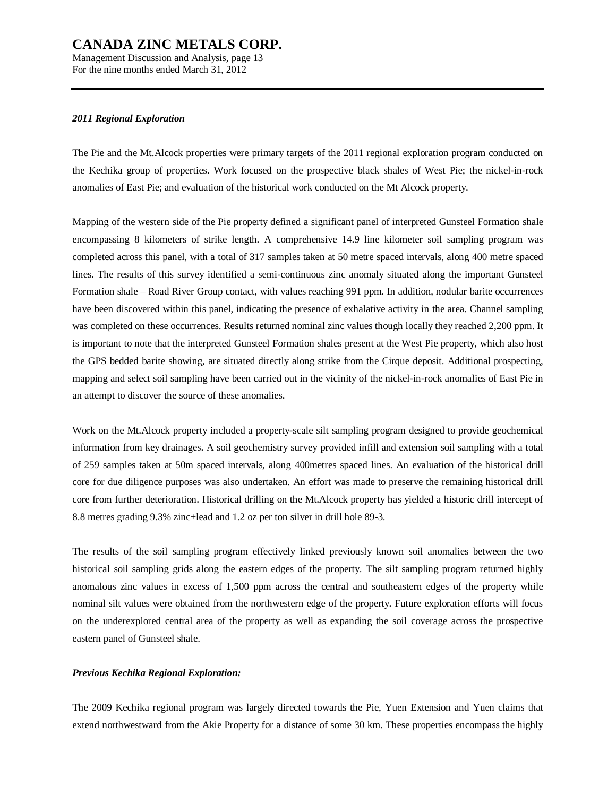Management Discussion and Analysis, page 13 For the nine months ended March 31, 2012

#### *2011 Regional Exploration*

The Pie and the Mt.Alcock properties were primary targets of the 2011 regional exploration program conducted on the Kechika group of properties. Work focused on the prospective black shales of West Pie; the nickel-in-rock anomalies of East Pie; and evaluation of the historical work conducted on the Mt Alcock property.

Mapping of the western side of the Pie property defined a significant panel of interpreted Gunsteel Formation shale encompassing 8 kilometers of strike length. A comprehensive 14.9 line kilometer soil sampling program was completed across this panel, with a total of 317 samples taken at 50 metre spaced intervals, along 400 metre spaced lines. The results of this survey identified a semi-continuous zinc anomaly situated along the important Gunsteel Formation shale – Road River Group contact, with values reaching 991 ppm. In addition, nodular barite occurrences have been discovered within this panel, indicating the presence of exhalative activity in the area. Channel sampling was completed on these occurrences. Results returned nominal zinc values though locally they reached 2,200 ppm. It is important to note that the interpreted Gunsteel Formation shales present at the West Pie property, which also host the GPS bedded barite showing, are situated directly along strike from the Cirque deposit. Additional prospecting, mapping and select soil sampling have been carried out in the vicinity of the nickel-in-rock anomalies of East Pie in an attempt to discover the source of these anomalies.

Work on the Mt.Alcock property included a property-scale silt sampling program designed to provide geochemical information from key drainages. A soil geochemistry survey provided infill and extension soil sampling with a total of 259 samples taken at 50m spaced intervals, along 400metres spaced lines. An evaluation of the historical drill core for due diligence purposes was also undertaken. An effort was made to preserve the remaining historical drill core from further deterioration. Historical drilling on the Mt.Alcock property has yielded a historic drill intercept of 8.8 metres grading 9.3% zinc+lead and 1.2 oz per ton silver in drill hole 89-3.

The results of the soil sampling program effectively linked previously known soil anomalies between the two historical soil sampling grids along the eastern edges of the property. The silt sampling program returned highly anomalous zinc values in excess of 1,500 ppm across the central and southeastern edges of the property while nominal silt values were obtained from the northwestern edge of the property. Future exploration efforts will focus on the underexplored central area of the property as well as expanding the soil coverage across the prospective eastern panel of Gunsteel shale.

### *Previous Kechika Regional Exploration:*

The 2009 Kechika regional program was largely directed towards the Pie, Yuen Extension and Yuen claims that extend northwestward from the Akie Property for a distance of some 30 km. These properties encompass the highly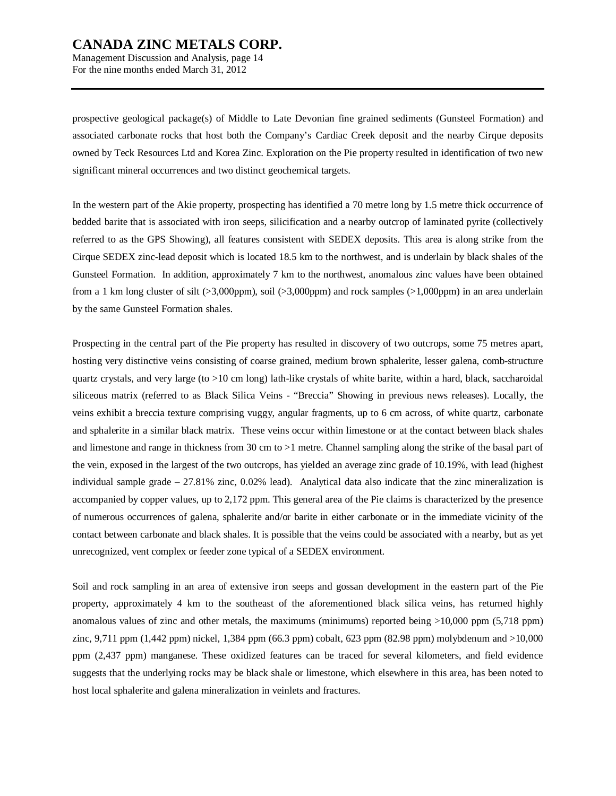Management Discussion and Analysis, page 14 For the nine months ended March 31, 2012

prospective geological package(s) of Middle to Late Devonian fine grained sediments (Gunsteel Formation) and associated carbonate rocks that host both the Company's Cardiac Creek deposit and the nearby Cirque deposits owned by Teck Resources Ltd and Korea Zinc. Exploration on the Pie property resulted in identification of two new significant mineral occurrences and two distinct geochemical targets.

In the western part of the Akie property, prospecting has identified a 70 metre long by 1.5 metre thick occurrence of bedded barite that is associated with iron seeps, silicification and a nearby outcrop of laminated pyrite (collectively referred to as the GPS Showing), all features consistent with SEDEX deposits. This area is along strike from the Cirque SEDEX zinc-lead deposit which is located 18.5 km to the northwest, and is underlain by black shales of the Gunsteel Formation. In addition, approximately 7 km to the northwest, anomalous zinc values have been obtained from a 1 km long cluster of silt (>3,000ppm), soil (>3,000ppm) and rock samples (>1,000ppm) in an area underlain by the same Gunsteel Formation shales.

Prospecting in the central part of the Pie property has resulted in discovery of two outcrops, some 75 metres apart, hosting very distinctive veins consisting of coarse grained, medium brown sphalerite, lesser galena, comb-structure quartz crystals, and very large (to >10 cm long) lath-like crystals of white barite, within a hard, black, saccharoidal siliceous matrix (referred to as Black Silica Veins - "Breccia" Showing in previous news releases). Locally, the veins exhibit a breccia texture comprising vuggy, angular fragments, up to 6 cm across, of white quartz, carbonate and sphalerite in a similar black matrix. These veins occur within limestone or at the contact between black shales and limestone and range in thickness from 30 cm to >1 metre. Channel sampling along the strike of the basal part of the vein, exposed in the largest of the two outcrops, has yielded an average zinc grade of 10.19%, with lead (highest individual sample grade  $-27.81\%$  zinc, 0.02% lead). Analytical data also indicate that the zinc mineralization is accompanied by copper values, up to 2,172 ppm. This general area of the Pie claims is characterized by the presence of numerous occurrences of galena, sphalerite and/or barite in either carbonate or in the immediate vicinity of the contact between carbonate and black shales. It is possible that the veins could be associated with a nearby, but as yet unrecognized, vent complex or feeder zone typical of a SEDEX environment.

Soil and rock sampling in an area of extensive iron seeps and gossan development in the eastern part of the Pie property, approximately 4 km to the southeast of the aforementioned black silica veins, has returned highly anomalous values of zinc and other metals, the maximums (minimums) reported being >10,000 ppm (5,718 ppm) zinc, 9,711 ppm (1,442 ppm) nickel, 1,384 ppm (66.3 ppm) cobalt, 623 ppm (82.98 ppm) molybdenum and >10,000 ppm (2,437 ppm) manganese. These oxidized features can be traced for several kilometers, and field evidence suggests that the underlying rocks may be black shale or limestone, which elsewhere in this area, has been noted to host local sphalerite and galena mineralization in veinlets and fractures.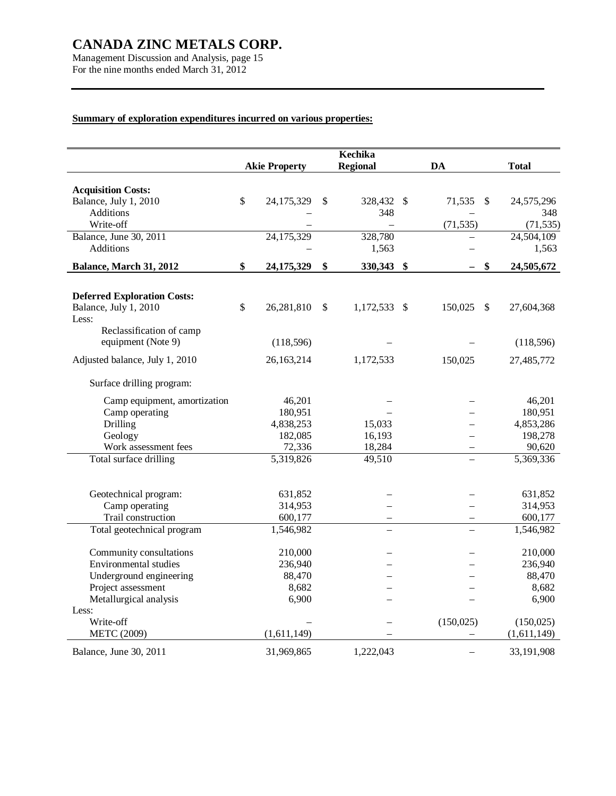Management Discussion and Analysis, page 15 For the nine months ended March 31, 2012

# **Summary of exploration expenditures incurred on various properties:**

|                                    | Kechika<br><b>Regional</b><br><b>Akie Property</b> |                        |    |              |  | DA            | <b>Total</b> |
|------------------------------------|----------------------------------------------------|------------------------|----|--------------|--|---------------|--------------|
|                                    |                                                    |                        |    |              |  |               |              |
| <b>Acquisition Costs:</b>          |                                                    |                        |    |              |  |               |              |
| Balance, July 1, 2010              | \$                                                 | 24,175,329             | \$ | 328,432 \$   |  | 71,535<br>\$  | 24,575,296   |
| Additions                          |                                                    |                        |    | 348          |  |               | 348          |
| Write-off                          |                                                    |                        |    |              |  | (71, 535)     | (71, 535)    |
| Balance, June 30, 2011             |                                                    | 24,175,329             |    | 328,780      |  |               | 24,504,109   |
| <b>Additions</b>                   |                                                    |                        |    | 1,563        |  |               | 1,563        |
| Balance, March 31, 2012            | \$                                                 | 24,175,329             | \$ | 330,343 \$   |  | \$            | 24,505,672   |
|                                    |                                                    |                        |    |              |  |               |              |
| <b>Deferred Exploration Costs:</b> |                                                    |                        |    |              |  |               |              |
| Balance, July 1, 2010              | \$                                                 | 26,281,810             | \$ | 1,172,533 \$ |  | 150,025<br>\$ | 27,604,368   |
| Less:                              |                                                    |                        |    |              |  |               |              |
| Reclassification of camp           |                                                    |                        |    |              |  |               |              |
| equipment (Note 9)                 |                                                    | (118, 596)             |    |              |  |               | (118,596)    |
| Adjusted balance, July 1, 2010     |                                                    | 26,163,214             |    | 1,172,533    |  | 150,025       | 27,485,772   |
|                                    |                                                    |                        |    |              |  |               |              |
| Surface drilling program:          |                                                    |                        |    |              |  |               |              |
| Camp equipment, amortization       |                                                    | 46,201                 |    |              |  |               | 46,201       |
| Camp operating                     |                                                    | 180,951                |    |              |  |               | 180,951      |
| <b>Drilling</b>                    |                                                    | 4,838,253              |    | 15,033       |  |               | 4,853,286    |
| Geology                            |                                                    | 182,085                |    | 16,193       |  |               | 198,278      |
| Work assessment fees               |                                                    | 72,336                 |    | 18,284       |  |               | 90,620       |
| Total surface drilling             |                                                    | 5,319,826              |    | 49,510       |  |               | 5,369,336    |
|                                    |                                                    |                        |    |              |  |               |              |
| Geotechnical program:              |                                                    | 631,852                |    |              |  |               | 631,852      |
| Camp operating                     |                                                    | 314,953                |    |              |  |               | 314,953      |
| Trail construction                 |                                                    | 600,177                |    |              |  |               | 600,177      |
| Total geotechnical program         |                                                    | $\overline{1,}546,982$ |    |              |  |               | 1,546,982    |
|                                    |                                                    |                        |    |              |  |               |              |
| Community consultations            |                                                    | 210,000                |    |              |  |               | 210,000      |
| <b>Environmental studies</b>       |                                                    | 236,940                |    |              |  |               | 236,940      |
| Underground engineering            |                                                    | 88,470                 |    |              |  |               | 88,470       |
| Project assessment                 |                                                    | 8,682                  |    |              |  |               | 8,682        |
| Metallurgical analysis             |                                                    | 6,900                  |    |              |  |               | 6,900        |
| Less:                              |                                                    |                        |    |              |  |               |              |
| Write-off                          |                                                    |                        |    |              |  | (150, 025)    | (150, 025)   |
| <b>METC (2009)</b>                 |                                                    | (1,611,149)            |    |              |  |               | (1,611,149)  |
| Balance, June 30, 2011             |                                                    | 31,969,865             |    | 1,222,043    |  |               | 33,191,908   |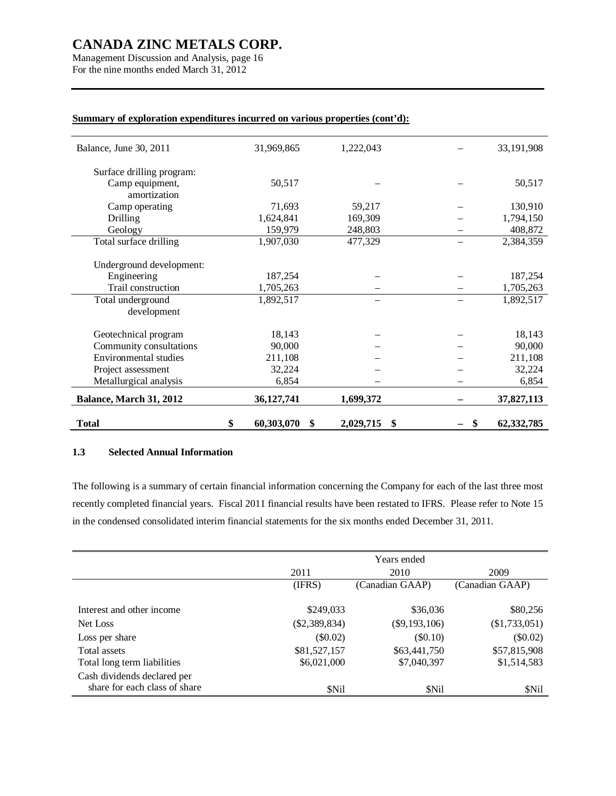Management Discussion and Analysis, page 16 For the nine months ended March 31, 2012

| <b>Total</b>                                 | \$<br>60,303,070<br>\$ | 2,029,715<br>\$ | \$<br>62,332,785 |
|----------------------------------------------|------------------------|-----------------|------------------|
| Balance, March 31, 2012                      | 36,127,741             | 1,699,372       | 37,827,113       |
| Metallurgical analysis                       | 6,854                  |                 | 6,854            |
| Project assessment                           | 32,224                 |                 | 32,224           |
| Environmental studies                        | 211,108                |                 | 211,108          |
| Community consultations                      | 90,000                 |                 | 90,000           |
| Geotechnical program                         | 18,143                 |                 | 18,143           |
| development                                  |                        |                 |                  |
| Total underground                            | 1,892,517              |                 | 1,892,517        |
| Trail construction                           | 1,705,263              |                 | 1,705,263        |
| Engineering                                  | 187,254                |                 | 187,254          |
| Underground development:                     |                        |                 |                  |
| Total surface drilling                       | 1,907,030              | 477,329         | 2,384,359        |
| Geology                                      | 159,979                | 248,803         | 408,872          |
| Drilling                                     | 1,624,841              | 169,309         | 1,794,150        |
| amortization<br>Camp operating               | 71,693                 | 59,217          | 130,910          |
| Surface drilling program:<br>Camp equipment, | 50,517                 |                 | 50,517           |
|                                              |                        |                 |                  |
| Balance, June 30, 2011                       | 31,969,865             | 1,222,043       | 33,191,908       |
|                                              |                        |                 |                  |

### **Summary of exploration expenditures incurred on various properties (cont'd):**

### **1.3 Selected Annual Information**

The following is a summary of certain financial information concerning the Company for each of the last three most recently completed financial years. Fiscal 2011 financial results have been restated to IFRS. Please refer to Note 15 in the condensed consolidated interim financial statements for the six months ended December 31, 2011.

|                               |                 | Years ended     |                 |
|-------------------------------|-----------------|-----------------|-----------------|
|                               | 2011            | 2010            | 2009            |
|                               | (IFRS)          | (Canadian GAAP) | (Canadian GAAP) |
|                               |                 |                 |                 |
| Interest and other income     | \$249,033       | \$36,036        | \$80,256        |
| Net Loss                      | $(\$2,389,834)$ | $(\$9,193,106)$ | $(\$1,733,051)$ |
| Loss per share                | $(\$0.02)$      | $(\$0.10)$      | $(\$0.02)$      |
| Total assets                  | \$81,527,157    | \$63,441,750    | \$57,815,908    |
| Total long term liabilities   | \$6,021,000     | \$7,040,397     | \$1,514,583     |
| Cash dividends declared per   |                 |                 |                 |
| share for each class of share | <b>SNil</b>     | <b>SNil</b>     | \$Nil           |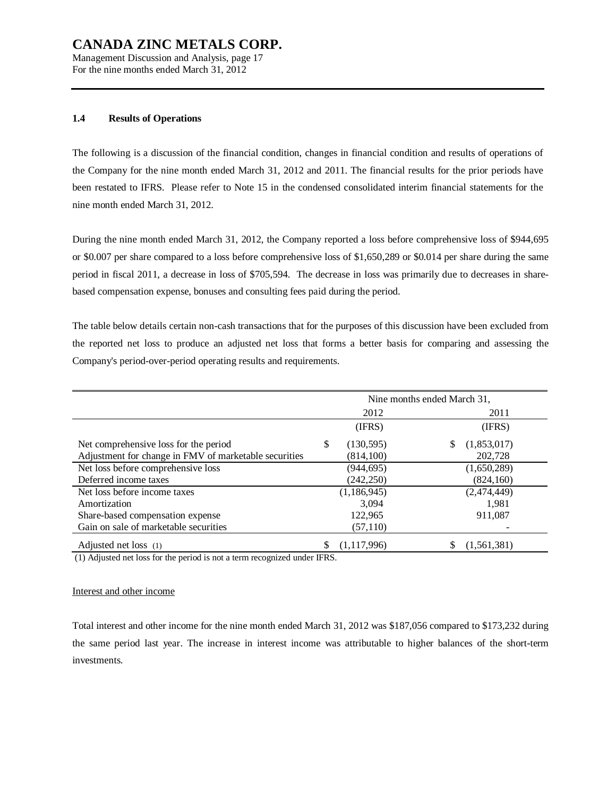Management Discussion and Analysis, page 17 For the nine months ended March 31, 2012

### **1.4 Results of Operations**

The following is a discussion of the financial condition, changes in financial condition and results of operations of the Company for the nine month ended March 31, 2012 and 2011. The financial results for the prior periods have been restated to IFRS. Please refer to Note 15 in the condensed consolidated interim financial statements for the nine month ended March 31, 2012.

During the nine month ended March 31, 2012, the Company reported a loss before comprehensive loss of \$944,695 or \$0.007 per share compared to a loss before comprehensive loss of \$1,650,289 or \$0.014 per share during the same period in fiscal 2011, a decrease in loss of \$705,594. The decrease in loss was primarily due to decreases in sharebased compensation expense, bonuses and consulting fees paid during the period.

The table below details certain non-cash transactions that for the purposes of this discussion have been excluded from the reported net loss to produce an adjusted net loss that forms a better basis for comparing and assessing the Company's period-over-period operating results and requirements.

|                                                       | Nine months ended March 31, |               |             |  |  |  |
|-------------------------------------------------------|-----------------------------|---------------|-------------|--|--|--|
|                                                       |                             | 2012          | 2011        |  |  |  |
|                                                       |                             | (IFRS)        | (IFRS)      |  |  |  |
| Net comprehensive loss for the period                 | \$                          | (130,595)     | (1,853,017) |  |  |  |
| Adjustment for change in FMV of marketable securities |                             | (814, 100)    | 202,728     |  |  |  |
| Net loss before comprehensive loss                    |                             | (944, 695)    | (1,650,289) |  |  |  |
| Deferred income taxes                                 |                             | (242, 250)    | (824, 160)  |  |  |  |
| Net loss before income taxes                          |                             | (1, 186, 945) | (2,474,449) |  |  |  |
| Amortization                                          |                             | 3.094         | 1,981       |  |  |  |
| Share-based compensation expense                      |                             | 122,965       | 911,087     |  |  |  |
| Gain on sale of marketable securities                 |                             | (57,110)      |             |  |  |  |
| Adjusted net loss (1)                                 |                             | (1, 117, 996) | (1,561,381) |  |  |  |

(1) Adjusted net loss for the period is not a term recognized under IFRS.

#### Interest and other income

Total interest and other income for the nine month ended March 31, 2012 was \$187,056 compared to \$173,232 during the same period last year. The increase in interest income was attributable to higher balances of the short-term investments.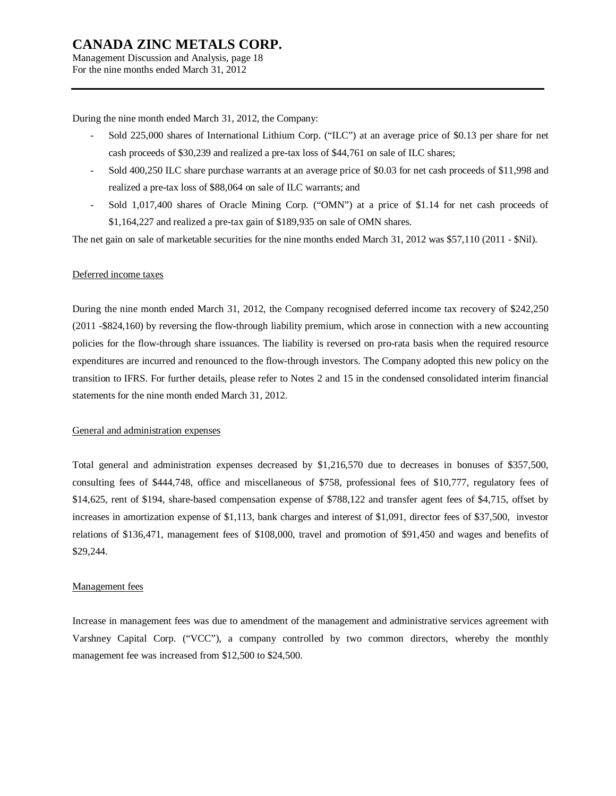Management Discussion and Analysis, page 18 For the nine months ended March 31, 2012

During the nine month ended March 31, 2012, the Company:

- Sold 225,000 shares of International Lithium Corp. ("ILC") at an average price of \$0.13 per share for net cash proceeds of \$30,239 and realized a pre-tax loss of \$44,761 on sale of ILC shares;
- Sold 400,250 ILC share purchase warrants at an average price of \$0.03 for net cash proceeds of \$11,998 and realized a pre-tax loss of \$88,064 on sale of ILC warrants; and
- Sold 1,017,400 shares of Oracle Mining Corp. ("OMN") at a price of \$1.14 for net cash proceeds of \$1,164,227 and realized a pre-tax gain of \$189,935 on sale of OMN shares.

The net gain on sale of marketable securities for the nine months ended March 31, 2012 was \$57,110 (2011 - \$Nil).

#### Deferred income taxes

During the nine month ended March 31, 2012, the Company recognised deferred income tax recovery of \$242,250 (2011 -\$824,160) by reversing the flow-through liability premium, which arose in connection with a new accounting policies for the flow-through share issuances. The liability is reversed on pro-rata basis when the required resource expenditures are incurred and renounced to the flow-through investors. The Company adopted this new policy on the transition to IFRS. For further details, please refer to Notes 2 and 15 in the condensed consolidated interim financial statements for the nine month ended March 31, 2012.

### General and administration expenses

Total general and administration expenses decreased by \$1,216,570 due to decreases in bonuses of \$357,500, consulting fees of \$444,748, office and miscellaneous of \$758, professional fees of \$10,777, regulatory fees of \$14,625, rent of \$194, share-based compensation expense of \$788,122 and transfer agent fees of \$4,715, offset by increases in amortization expense of \$1,113, bank charges and interest of \$1,091, director fees of \$37,500, investor relations of \$136,471, management fees of \$108,000, travel and promotion of \$91,450 and wages and benefits of \$29,244.

#### Management fees

Increase in management fees was due to amendment of the management and administrative services agreement with Varshney Capital Corp. ("VCC"), a company controlled by two common directors, whereby the monthly management fee was increased from \$12,500 to \$24,500.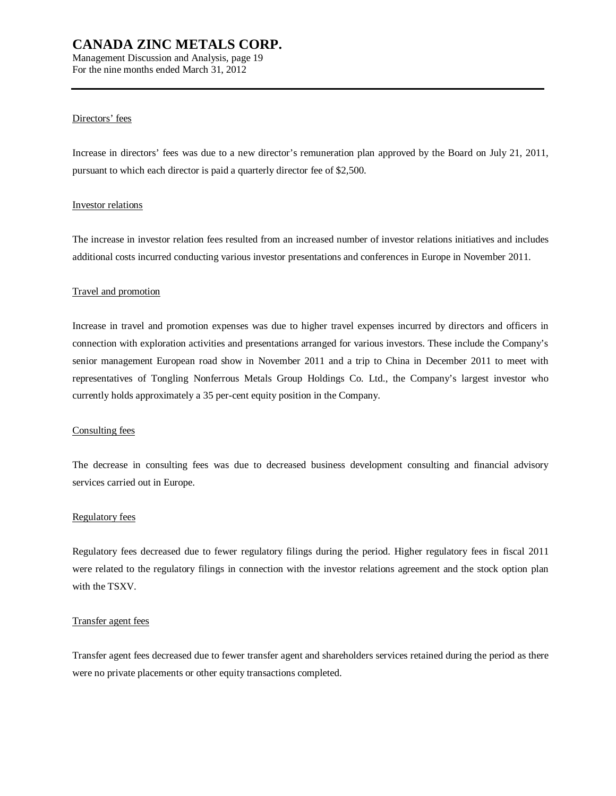Management Discussion and Analysis, page 19 For the nine months ended March 31, 2012

### Directors' fees

Increase in directors' fees was due to a new director's remuneration plan approved by the Board on July 21, 2011, pursuant to which each director is paid a quarterly director fee of \$2,500.

### Investor relations

The increase in investor relation fees resulted from an increased number of investor relations initiatives and includes additional costs incurred conducting various investor presentations and conferences in Europe in November 2011.

### Travel and promotion

Increase in travel and promotion expenses was due to higher travel expenses incurred by directors and officers in connection with exploration activities and presentations arranged for various investors. These include the Company's senior management European road show in November 2011 and a trip to China in December 2011 to meet with representatives of Tongling Nonferrous Metals Group Holdings Co. Ltd., the Company's largest investor who currently holds approximately a 35 per-cent equity position in the Company.

### Consulting fees

The decrease in consulting fees was due to decreased business development consulting and financial advisory services carried out in Europe.

#### Regulatory fees

Regulatory fees decreased due to fewer regulatory filings during the period. Higher regulatory fees in fiscal 2011 were related to the regulatory filings in connection with the investor relations agreement and the stock option plan with the TSXV.

#### Transfer agent fees

Transfer agent fees decreased due to fewer transfer agent and shareholders services retained during the period as there were no private placements or other equity transactions completed.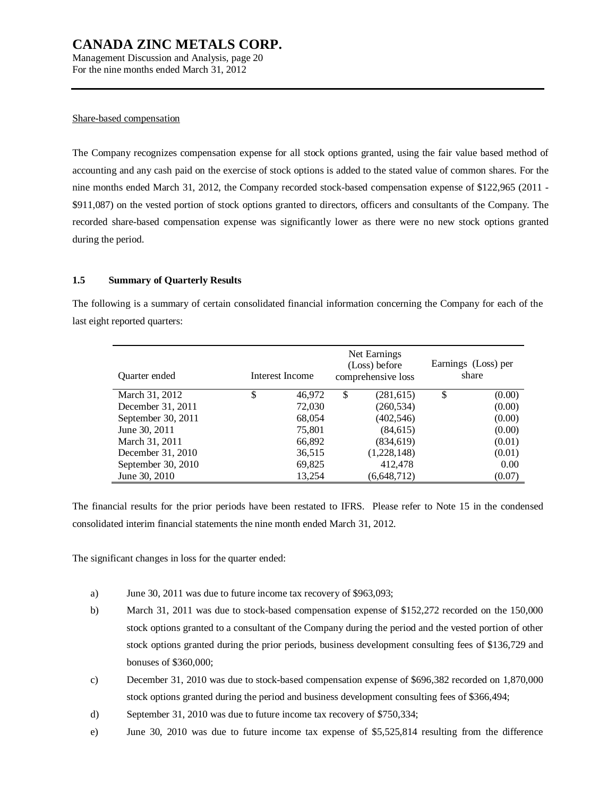Management Discussion and Analysis, page 20 For the nine months ended March 31, 2012

#### Share-based compensation

The Company recognizes compensation expense for all stock options granted, using the fair value based method of accounting and any cash paid on the exercise of stock options is added to the stated value of common shares. For the nine months ended March 31, 2012, the Company recorded stock-based compensation expense of \$122,965 (2011 - \$911,087) on the vested portion of stock options granted to directors, officers and consultants of the Company. The recorded share-based compensation expense was significantly lower as there were no new stock options granted during the period.

### **1.5 Summary of Quarterly Results**

The following is a summary of certain consolidated financial information concerning the Company for each of the last eight reported quarters:

| Quarter ended      | Interest Income |        | Net Earnings<br>(Loss) before<br>comprehensive loss | Earnings (Loss) per<br>share |        |  |
|--------------------|-----------------|--------|-----------------------------------------------------|------------------------------|--------|--|
| March 31, 2012     | \$              | 46,972 | \$<br>(281,615)                                     | S                            | (0.00) |  |
| December 31, 2011  |                 | 72,030 | (260, 534)                                          |                              | (0.00) |  |
| September 30, 2011 |                 | 68,054 | (402, 546)                                          |                              | (0.00) |  |
| June 30, 2011      |                 | 75,801 | (84, 615)                                           |                              | (0.00) |  |
| March 31, 2011     |                 | 66,892 | (834, 619)                                          |                              | (0.01) |  |
| December 31, 2010  |                 | 36,515 | (1,228,148)                                         |                              | (0.01) |  |
| September 30, 2010 |                 | 69,825 | 412,478                                             |                              | 0.00   |  |
| June 30, 2010      |                 | 13,254 | (6, 648, 712)                                       |                              | (0.07) |  |

The financial results for the prior periods have been restated to IFRS. Please refer to Note 15 in the condensed consolidated interim financial statements the nine month ended March 31, 2012.

The significant changes in loss for the quarter ended:

- a) June 30, 2011 was due to future income tax recovery of \$963,093;
- b) March 31, 2011 was due to stock-based compensation expense of \$152,272 recorded on the 150,000 stock options granted to a consultant of the Company during the period and the vested portion of other stock options granted during the prior periods, business development consulting fees of \$136,729 and bonuses of \$360,000;
- c) December 31, 2010 was due to stock-based compensation expense of \$696,382 recorded on 1,870,000 stock options granted during the period and business development consulting fees of \$366,494;
- d) September 31, 2010 was due to future income tax recovery of \$750,334;
- e) June 30, 2010 was due to future income tax expense of \$5,525,814 resulting from the difference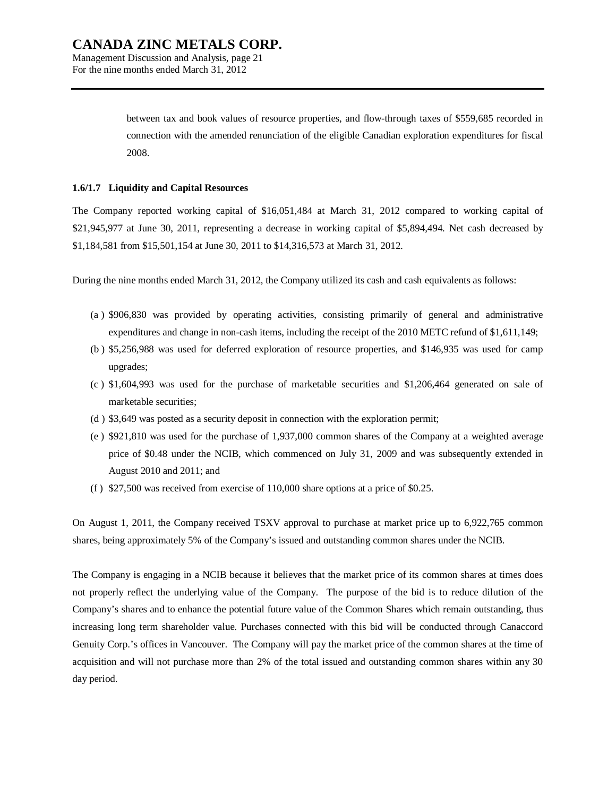Management Discussion and Analysis, page 21 For the nine months ended March 31, 2012

> between tax and book values of resource properties, and flow-through taxes of \$559,685 recorded in connection with the amended renunciation of the eligible Canadian exploration expenditures for fiscal 2008.

### **1.6/1.7 Liquidity and Capital Resources**

The Company reported working capital of \$16,051,484 at March 31, 2012 compared to working capital of \$21,945,977 at June 30, 2011, representing a decrease in working capital of \$5,894,494. Net cash decreased by \$1,184,581 from \$15,501,154 at June 30, 2011 to \$14,316,573 at March 31, 2012.

During the nine months ended March 31, 2012, the Company utilized its cash and cash equivalents as follows:

- (a ) \$906,830 was provided by operating activities, consisting primarily of general and administrative expenditures and change in non-cash items, including the receipt of the 2010 METC refund of \$1,611,149;
- (b ) \$5,256,988 was used for deferred exploration of resource properties, and \$146,935 was used for camp upgrades;
- (c ) \$1,604,993 was used for the purchase of marketable securities and \$1,206,464 generated on sale of marketable securities;
- (d ) \$3,649 was posted as a security deposit in connection with the exploration permit;
- (e ) \$921,810 was used for the purchase of 1,937,000 common shares of the Company at a weighted average price of \$0.48 under the NCIB, which commenced on July 31, 2009 and was subsequently extended in August 2010 and 2011; and
- (f ) \$27,500 was received from exercise of 110,000 share options at a price of \$0.25.

On August 1, 2011, the Company received TSXV approval to purchase at market price up to 6,922,765 common shares, being approximately 5% of the Company's issued and outstanding common shares under the NCIB.

The Company is engaging in a NCIB because it believes that the market price of its common shares at times does not properly reflect the underlying value of the Company. The purpose of the bid is to reduce dilution of the Company's shares and to enhance the potential future value of the Common Shares which remain outstanding, thus increasing long term shareholder value. Purchases connected with this bid will be conducted through Canaccord Genuity Corp.'s offices in Vancouver. The Company will pay the market price of the common shares at the time of acquisition and will not purchase more than 2% of the total issued and outstanding common shares within any 30 day period.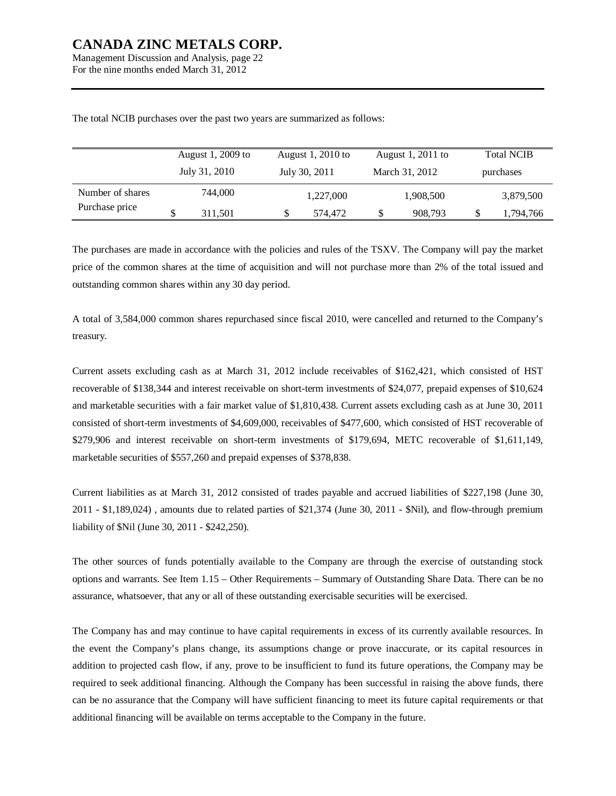Management Discussion and Analysis, page 22 For the nine months ended March 31, 2012

| August 1, 2009 to |  |               | August 1, 2010 to |               | August 1, 2011 to | <b>Total NCIB</b> |  |           |
|-------------------|--|---------------|-------------------|---------------|-------------------|-------------------|--|-----------|
|                   |  | July 31, 2010 |                   | July 30, 2011 |                   | March 31, 2012    |  | purchases |
| Number of shares  |  | 744,000       |                   | 1,227,000     |                   | 1,908,500         |  | 3,879,500 |
| Purchase price    |  | 311,501       | J)                | 574.472       | S                 | 908,793           |  | 1,794,766 |

The total NCIB purchases over the past two years are summarized as follows:

The purchases are made in accordance with the policies and rules of the TSXV. The Company will pay the market price of the common shares at the time of acquisition and will not purchase more than 2% of the total issued and outstanding common shares within any 30 day period.

A total of 3,584,000 common shares repurchased since fiscal 2010, were cancelled and returned to the Company's treasury.

Current assets excluding cash as at March 31, 2012 include receivables of \$162,421, which consisted of HST recoverable of \$138,344 and interest receivable on short-term investments of \$24,077, prepaid expenses of \$10,624 and marketable securities with a fair market value of \$1,810,438. Current assets excluding cash as at June 30, 2011 consisted of short-term investments of \$4,609,000, receivables of \$477,600, which consisted of HST recoverable of \$279,906 and interest receivable on short-term investments of \$179,694, METC recoverable of \$1,611,149, marketable securities of \$557,260 and prepaid expenses of \$378,838.

Current liabilities as at March 31, 2012 consisted of trades payable and accrued liabilities of \$227,198 (June 30, 2011 - \$1,189,024) , amounts due to related parties of \$21,374 (June 30, 2011 - \$Nil), and flow-through premium liability of \$Nil (June 30, 2011 - \$242,250).

The other sources of funds potentially available to the Company are through the exercise of outstanding stock options and warrants. See Item 1.15 – Other Requirements – Summary of Outstanding Share Data. There can be no assurance, whatsoever, that any or all of these outstanding exercisable securities will be exercised.

The Company has and may continue to have capital requirements in excess of its currently available resources. In the event the Company's plans change, its assumptions change or prove inaccurate, or its capital resources in addition to projected cash flow, if any, prove to be insufficient to fund its future operations, the Company may be required to seek additional financing. Although the Company has been successful in raising the above funds, there can be no assurance that the Company will have sufficient financing to meet its future capital requirements or that additional financing will be available on terms acceptable to the Company in the future.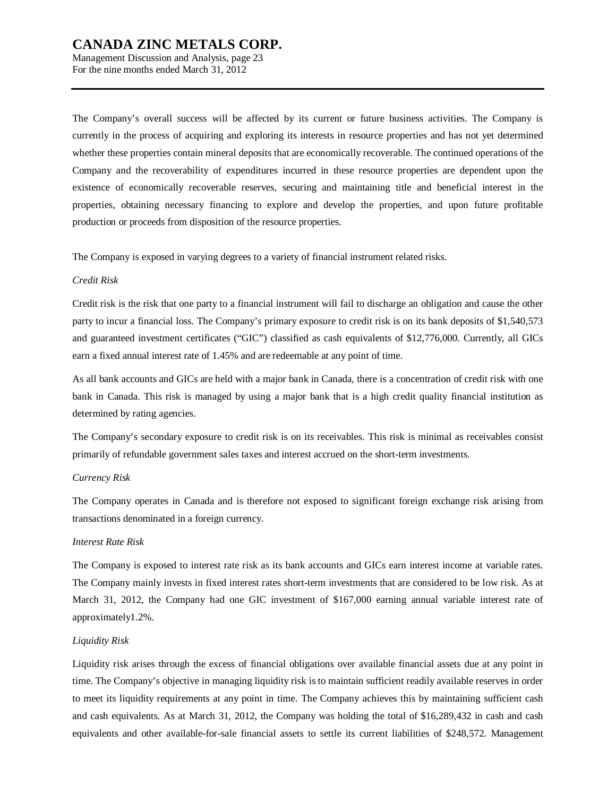Management Discussion and Analysis, page 23 For the nine months ended March 31, 2012

The Company's overall success will be affected by its current or future business activities. The Company is currently in the process of acquiring and exploring its interests in resource properties and has not yet determined whether these properties contain mineral deposits that are economically recoverable. The continued operations of the Company and the recoverability of expenditures incurred in these resource properties are dependent upon the existence of economically recoverable reserves, securing and maintaining title and beneficial interest in the properties, obtaining necessary financing to explore and develop the properties, and upon future profitable production or proceeds from disposition of the resource properties.

The Company is exposed in varying degrees to a variety of financial instrument related risks.

#### *Credit Risk*

Credit risk is the risk that one party to a financial instrument will fail to discharge an obligation and cause the other party to incur a financial loss. The Company's primary exposure to credit risk is on its bank deposits of \$1,540,573 and guaranteed investment certificates ("GIC") classified as cash equivalents of \$12,776,000. Currently, all GICs earn a fixed annual interest rate of 1.45% and are redeemable at any point of time.

As all bank accounts and GICs are held with a major bank in Canada, there is a concentration of credit risk with one bank in Canada. This risk is managed by using a major bank that is a high credit quality financial institution as determined by rating agencies.

The Company's secondary exposure to credit risk is on its receivables. This risk is minimal as receivables consist primarily of refundable government sales taxes and interest accrued on the short-term investments.

#### *Currency Risk*

The Company operates in Canada and is therefore not exposed to significant foreign exchange risk arising from transactions denominated in a foreign currency.

### *Interest Rate Risk*

The Company is exposed to interest rate risk as its bank accounts and GICs earn interest income at variable rates. The Company mainly invests in fixed interest rates short-term investments that are considered to be low risk. As at March 31, 2012, the Company had one GIC investment of \$167,000 earning annual variable interest rate of approximately1.2%.

#### *Liquidity Risk*

Liquidity risk arises through the excess of financial obligations over available financial assets due at any point in time. The Company's objective in managing liquidity risk is to maintain sufficient readily available reserves in order to meet its liquidity requirements at any point in time. The Company achieves this by maintaining sufficient cash and cash equivalents. As at March 31, 2012, the Company was holding the total of \$16,289,432 in cash and cash equivalents and other available-for-sale financial assets to settle its current liabilities of \$248,572. Management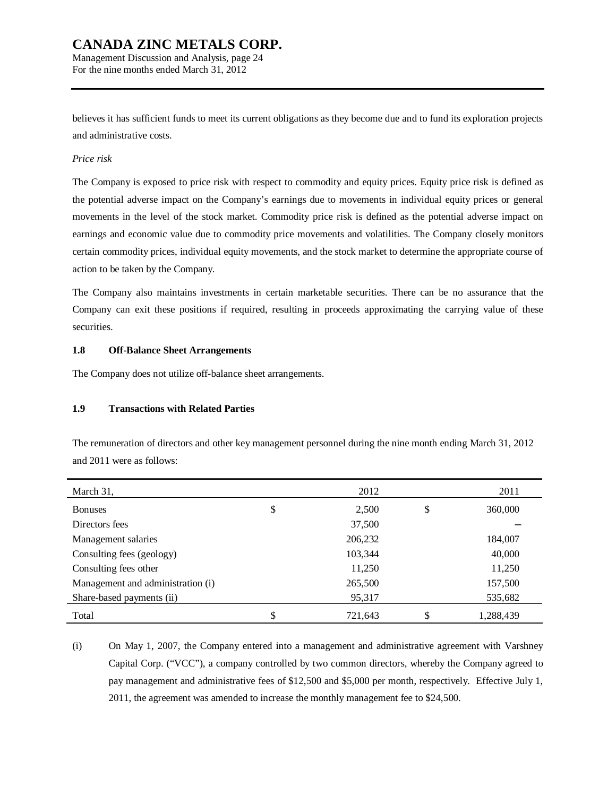Management Discussion and Analysis, page 24 For the nine months ended March 31, 2012

believes it has sufficient funds to meet its current obligations as they become due and to fund its exploration projects and administrative costs.

### *Price risk*

The Company is exposed to price risk with respect to commodity and equity prices. Equity price risk is defined as the potential adverse impact on the Company's earnings due to movements in individual equity prices or general movements in the level of the stock market. Commodity price risk is defined as the potential adverse impact on earnings and economic value due to commodity price movements and volatilities. The Company closely monitors certain commodity prices, individual equity movements, and the stock market to determine the appropriate course of action to be taken by the Company.

The Company also maintains investments in certain marketable securities. There can be no assurance that the Company can exit these positions if required, resulting in proceeds approximating the carrying value of these securities.

### **1.8 Off-Balance Sheet Arrangements**

The Company does not utilize off-balance sheet arrangements.

### **1.9 Transactions with Related Parties**

The remuneration of directors and other key management personnel during the nine month ending March 31, 2012 and 2011 were as follows:

| March 31,                         | 2012          | 2011            |
|-----------------------------------|---------------|-----------------|
| <b>Bonuses</b>                    | \$<br>2,500   | \$<br>360,000   |
| Directors fees                    | 37,500        |                 |
| Management salaries               | 206,232       | 184,007         |
| Consulting fees (geology)         | 103,344       | 40,000          |
| Consulting fees other             | 11,250        | 11,250          |
| Management and administration (i) | 265,500       | 157,500         |
| Share-based payments (ii)         | 95,317        | 535,682         |
| Total                             | \$<br>721,643 | \$<br>1,288,439 |

(i) On May 1, 2007, the Company entered into a management and administrative agreement with Varshney Capital Corp. ("VCC"), a company controlled by two common directors, whereby the Company agreed to pay management and administrative fees of \$12,500 and \$5,000 per month, respectively. Effective July 1, 2011, the agreement was amended to increase the monthly management fee to \$24,500.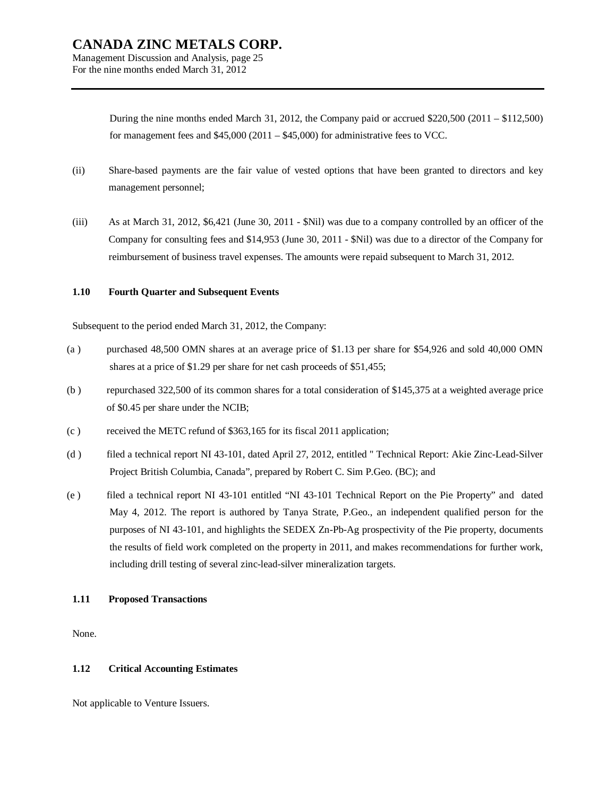Management Discussion and Analysis, page 25 For the nine months ended March 31, 2012

> During the nine months ended March 31, 2012, the Company paid or accrued \$220,500 (2011 – \$112,500) for management fees and  $$45,000 (2011 - $45,000)$  for administrative fees to VCC.

- (ii) Share-based payments are the fair value of vested options that have been granted to directors and key management personnel;
- (iii) As at March 31, 2012, \$6,421 (June 30, 2011 \$Nil) was due to a company controlled by an officer of the Company for consulting fees and \$14,953 (June 30, 2011 - \$Nil) was due to a director of the Company for reimbursement of business travel expenses. The amounts were repaid subsequent to March 31, 2012.

### **1.10 Fourth Quarter and Subsequent Events**

Subsequent to the period ended March 31, 2012, the Company:

- (a ) purchased 48,500 OMN shares at an average price of \$1.13 per share for \$54,926 and sold 40,000 OMN shares at a price of \$1.29 per share for net cash proceeds of \$51,455;
- (b ) repurchased 322,500 of its common shares for a total consideration of \$145,375 at a weighted average price of \$0.45 per share under the NCIB;
- (c ) received the METC refund of \$363,165 for its fiscal 2011 application;
- (d ) filed a technical report NI 43-101, dated April 27, 2012, entitled " Technical Report: Akie Zinc-Lead-Silver Project British Columbia, Canada", prepared by Robert C. Sim P.Geo. (BC); and
- (e ) filed a technical report NI 43-101 entitled "NI 43-101 Technical Report on the Pie Property" and dated May 4, 2012. The report is authored by Tanya Strate, P.Geo., an independent qualified person for the purposes of NI 43-101, and highlights the SEDEX Zn-Pb-Ag prospectivity of the Pie property, documents the results of field work completed on the property in 2011, and makes recommendations for further work, including drill testing of several zinc-lead-silver mineralization targets.

### **1.11 Proposed Transactions**

None.

### **1.12 Critical Accounting Estimates**

Not applicable to Venture Issuers.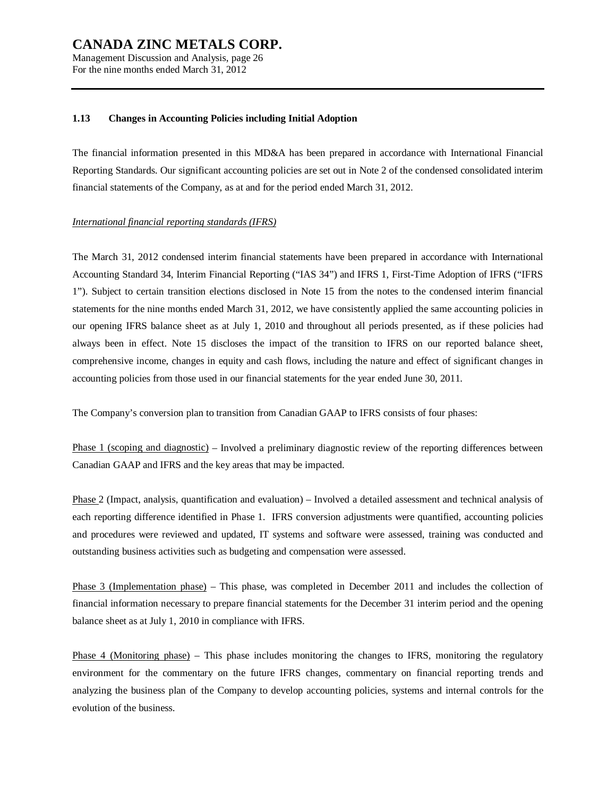Management Discussion and Analysis, page 26 For the nine months ended March 31, 2012

#### **1.13 Changes in Accounting Policies including Initial Adoption**

The financial information presented in this MD&A has been prepared in accordance with International Financial Reporting Standards. Our significant accounting policies are set out in Note 2 of the condensed consolidated interim financial statements of the Company, as at and for the period ended March 31, 2012.

### *International financial reporting standards (IFRS)*

The March 31, 2012 condensed interim financial statements have been prepared in accordance with International Accounting Standard 34, Interim Financial Reporting ("IAS 34") and IFRS 1, First-Time Adoption of IFRS ("IFRS 1"). Subject to certain transition elections disclosed in Note 15 from the notes to the condensed interim financial statements for the nine months ended March 31, 2012, we have consistently applied the same accounting policies in our opening IFRS balance sheet as at July 1, 2010 and throughout all periods presented, as if these policies had always been in effect. Note 15 discloses the impact of the transition to IFRS on our reported balance sheet, comprehensive income, changes in equity and cash flows, including the nature and effect of significant changes in accounting policies from those used in our financial statements for the year ended June 30, 2011.

The Company's conversion plan to transition from Canadian GAAP to IFRS consists of four phases:

Phase 1 (scoping and diagnostic) – Involved a preliminary diagnostic review of the reporting differences between Canadian GAAP and IFRS and the key areas that may be impacted.

Phase 2 (Impact, analysis, quantification and evaluation) – Involved a detailed assessment and technical analysis of each reporting difference identified in Phase 1. IFRS conversion adjustments were quantified, accounting policies and procedures were reviewed and updated, IT systems and software were assessed, training was conducted and outstanding business activities such as budgeting and compensation were assessed.

Phase 3 (Implementation phase) – This phase, was completed in December 2011 and includes the collection of financial information necessary to prepare financial statements for the December 31 interim period and the opening balance sheet as at July 1, 2010 in compliance with IFRS.

Phase 4 (Monitoring phase) – This phase includes monitoring the changes to IFRS, monitoring the regulatory environment for the commentary on the future IFRS changes, commentary on financial reporting trends and analyzing the business plan of the Company to develop accounting policies, systems and internal controls for the evolution of the business.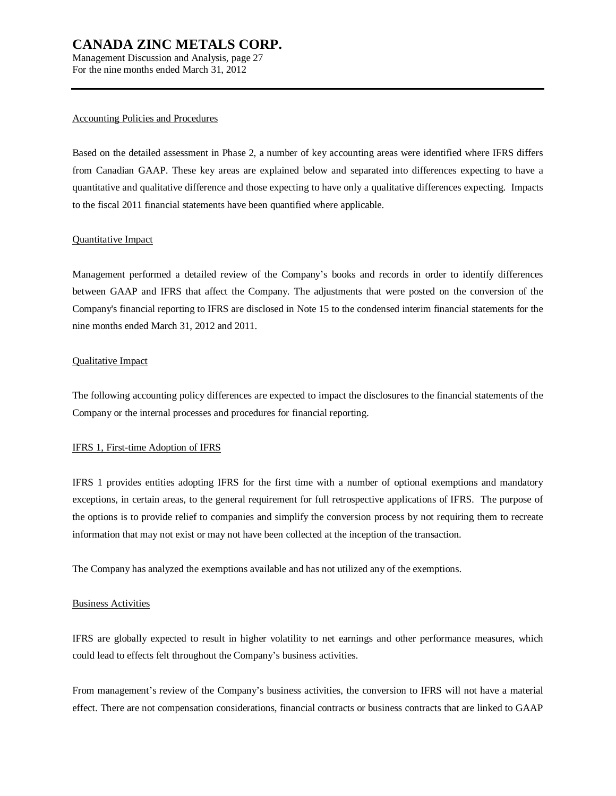Management Discussion and Analysis, page 27 For the nine months ended March 31, 2012

#### Accounting Policies and Procedures

Based on the detailed assessment in Phase 2, a number of key accounting areas were identified where IFRS differs from Canadian GAAP. These key areas are explained below and separated into differences expecting to have a quantitative and qualitative difference and those expecting to have only a qualitative differences expecting. Impacts to the fiscal 2011 financial statements have been quantified where applicable.

### Quantitative Impact

Management performed a detailed review of the Company's books and records in order to identify differences between GAAP and IFRS that affect the Company. The adjustments that were posted on the conversion of the Company's financial reporting to IFRS are disclosed in Note 15 to the condensed interim financial statements for the nine months ended March 31, 2012 and 2011.

### Qualitative Impact

The following accounting policy differences are expected to impact the disclosures to the financial statements of the Company or the internal processes and procedures for financial reporting.

### IFRS 1, First-time Adoption of IFRS

IFRS 1 provides entities adopting IFRS for the first time with a number of optional exemptions and mandatory exceptions, in certain areas, to the general requirement for full retrospective applications of IFRS. The purpose of the options is to provide relief to companies and simplify the conversion process by not requiring them to recreate information that may not exist or may not have been collected at the inception of the transaction.

The Company has analyzed the exemptions available and has not utilized any of the exemptions.

### Business Activities

IFRS are globally expected to result in higher volatility to net earnings and other performance measures, which could lead to effects felt throughout the Company's business activities.

From management's review of the Company's business activities, the conversion to IFRS will not have a material effect. There are not compensation considerations, financial contracts or business contracts that are linked to GAAP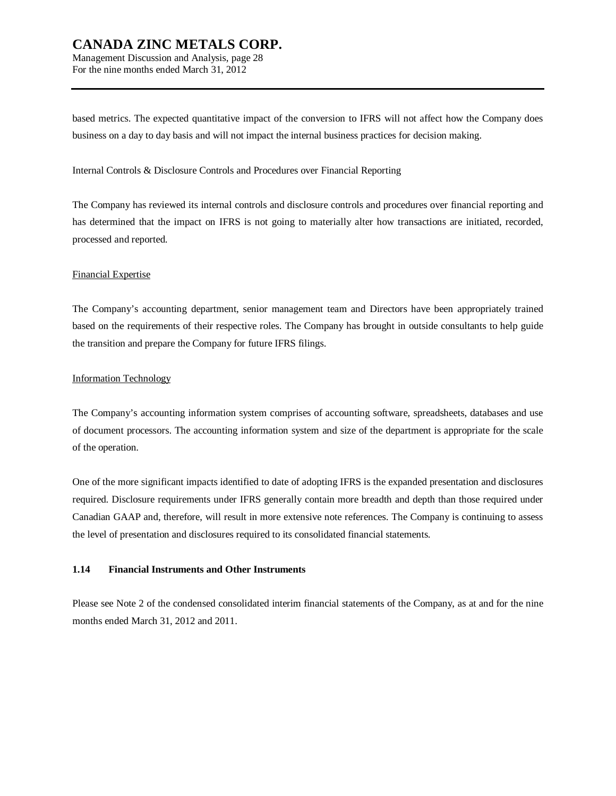Management Discussion and Analysis, page 28 For the nine months ended March 31, 2012

based metrics. The expected quantitative impact of the conversion to IFRS will not affect how the Company does business on a day to day basis and will not impact the internal business practices for decision making.

#### Internal Controls & Disclosure Controls and Procedures over Financial Reporting

The Company has reviewed its internal controls and disclosure controls and procedures over financial reporting and has determined that the impact on IFRS is not going to materially alter how transactions are initiated, recorded, processed and reported.

#### Financial Expertise

The Company's accounting department, senior management team and Directors have been appropriately trained based on the requirements of their respective roles. The Company has brought in outside consultants to help guide the transition and prepare the Company for future IFRS filings.

#### Information Technology

The Company's accounting information system comprises of accounting software, spreadsheets, databases and use of document processors. The accounting information system and size of the department is appropriate for the scale of the operation.

One of the more significant impacts identified to date of adopting IFRS is the expanded presentation and disclosures required. Disclosure requirements under IFRS generally contain more breadth and depth than those required under Canadian GAAP and, therefore, will result in more extensive note references. The Company is continuing to assess the level of presentation and disclosures required to its consolidated financial statements.

### **1.14 Financial Instruments and Other Instruments**

Please see Note 2 of the condensed consolidated interim financial statements of the Company, as at and for the nine months ended March 31, 2012 and 2011.